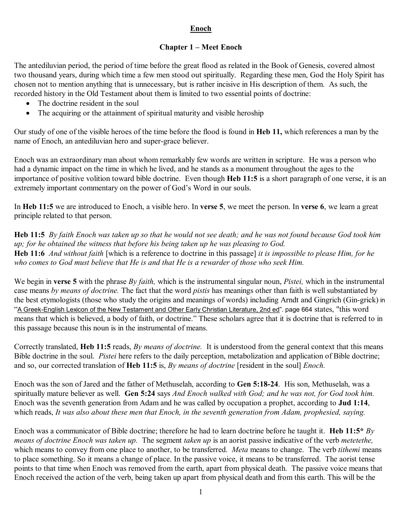# **Enoch**

### **Chapter 1 – Meet Enoch**

The antediluvian period, the period of time before the great flood as related in the Book of Genesis, covered almost two thousand years, during which time a few men stood out spiritually. Regarding these men, God the Holy Spirit has chosen not to mention anything that is unnecessary, but is rather incisive in His description of them. As such, the recorded history in the Old Testament about them is limited to two essential points of doctrine:

- The doctrine resident in the soul
- The acquiring or the attainment of spiritual maturity and visible heroship

Our study of one of the visible heroes of the time before the flood is found in **Heb 11,** which references a man by the name of Enoch, an antediluvian hero and super-grace believer.

Enoch was an extraordinary man about whom remarkably few words are written in scripture. He was a person who had a dynamic impact on the time in which he lived, and he stands as a monument throughout the ages to the importance of positive volition toward bible doctrine. Even though **Heb 11:5** is a short paragraph of one verse, it is an extremely important commentary on the power of God's Word in our souls.

In **Heb 11:5** we are introduced to Enoch, a visible hero. In **verse 5**, we meet the person. In **verse 6**, we learn a great principle related to that person.

**Heb 11:5** *By faith Enoch was taken up so that he would not see death; and he was not found because God took him up; for he obtained the witness that before his being taken up he was pleasing to God.* **Heb 11:6** *And without faith* [which is a reference to doctrine in this passage] *it is impossible to please Him, for he who comes to God must believe that He is and that He is a rewarder of those who seek Him.*

We begin in **verse 5** with the phrase *By faith,* which is the instrumental singular noun, *Pistei,* which in the instrumental case means *by means of doctrine.* The fact that the word *pistis* has meanings other than faith is well substantiated by the best etymologists (those who study the origins and meanings of words) including Arndt and Gingrich (Gin-grick) in "A Greek-English Lexicon of the New Testament and Other Early Christian Literature, 2nd ed". page 664 states, "this word means that which is believed, a body of faith, or doctrine." These scholars agree that it is doctrine that is referred to in this passage because this noun is in the instrumental of means.

Correctly translated, **Heb 11:5** reads, *By means of doctrine.* It is understood from the general context that this means Bible doctrine in the soul. *Pistei* here refers to the daily perception, metabolization and application of Bible doctrine; and so, our corrected translation of **Heb 11:5** is, *By means of doctrine* [resident in the soul] *Enoch.*

Enoch was the son of Jared and the father of Methuselah, according to **Gen 5:1824**. His son, Methuselah, was a spiritually mature believer as well. **Gen 5:24** says *And Enoch walked with God; and he was not, for God took him.* Enoch was the seventh generation from Adam and he was called by occupation a prophet, according to **Jud 1:14**, which reads, *It was also about these men that Enoch, in the seventh generation from Adam, prophesied, saying.*

Enoch was a communicator of Bible doctrine; therefore he had to learn doctrine before he taught it. **Heb 11:5\*** *By means of doctrine Enoch was taken up.* The segment *taken up* is an aorist passive indicative of the verb *metetethe,* which means to convey from one place to another, to be transferred. *Meta* means to change. The verb *tithemi* means to place something. So it means a change of place. In the passive voice, it means to be transferred. The aorist tense points to that time when Enoch was removed from the earth, apart from physical death. The passive voice means that Enoch received the action of the verb, being taken up apart from physical death and from this earth. This will be the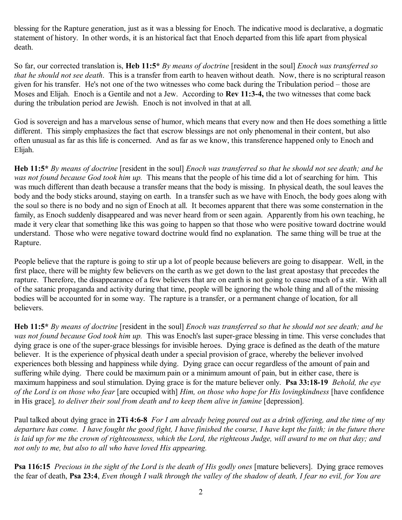blessing for the Rapture generation, just as it was a blessing for Enoch. The indicative mood is declarative, a dogmatic statement of history. In other words, it is an historical fact that Enoch departed from this life apart from physical death.

So far, our corrected translation is, **Heb 11:5\*** *By means of doctrine* [resident in the soul] *Enoch was transferred so that he should not see death*. This is a transfer from earth to heaven without death. Now, there is no scriptural reason given for his transfer. He's not one of the two witnesses who come back during the Tribulation period – those are Moses and Elijah. Enoch is a Gentile and not a Jew. According to **Rev 11:34,** the two witnesses that come back during the tribulation period are Jewish. Enoch is not involved in that at all.

God is sovereign and has a marvelous sense of humor, which means that every now and then He does something a little different. This simply emphasizes the fact that escrow blessings are not only phenomenal in their content, but also often unusual as far as this life is concerned. And as far as we know, this transference happened only to Enoch and Elijah.

**Heb 11:5\*** *By means of doctrine* [resident in the soul] *Enoch was transferred so that he should not see death; and he was not found because God took him up.* This means that the people of his time did a lot of searching for him. This was much different than death because a transfer means that the body is missing. In physical death, the soul leaves the body and the body sticks around, staying on earth. In a transfer such as we have with Enoch, the body goes along with the soul so there is no body and no sign of Enoch at all. It becomes apparent that there was some consternation in the family, as Enoch suddenly disappeared and was never heard from or seen again. Apparently from his own teaching, he made it very clear that something like this was going to happen so that those who were positive toward doctrine would understand. Those who were negative toward doctrine would find no explanation. The same thing will be true at the Rapture.

People believe that the rapture is going to stir up a lot of people because believers are going to disappear. Well, in the first place, there will be mighty few believers on the earth as we get down to the last great apostasy that precedes the rapture. Therefore, the disappearance of a few believers that are on earth is not going to cause much of a stir. With all of the satanic propaganda and activity during that time, people will be ignoring the whole thing and all of the missing bodies will be accounted for in some way. The rapture is a transfer, or a permanent change of location, for all believers.

**Heb 11:5\*** *By means of doctrine* [resident in the soul] *Enoch was transferred so that he should not see death; and he was not found because God took him up.* This was Enoch's last super-grace blessing in time. This verse concludes that dying grace is one of the super-grace blessings for invisible heroes. Dying grace is defined as the death of the mature believer. It is the experience of physical death under a special provision of grace, whereby the believer involved experiences both blessing and happiness while dying. Dying grace can occur regardless of the amount of pain and suffering while dying. There could be maximum pain or a minimum amount of pain, but in either case, there is maximum happiness and soul stimulation. Dying grace is for the mature believer only. **Psa 33:1819** *Behold, the eye of the Lord is on those who fear* [are occupied with] *Him, on those who hope for His lovingkindness* [have confidence in His grace]*, to deliver their soul from death and to keep them alive in famine* [depression]*.*

Paul talked about dying grace in **2Ti 4:68** *For I am already being poured out as a drink offering, and the time of my departure has come. I have fought the good fight, I have finished the course, I have kept the faith; in the future there is laid up for me the crown of righteousness, which the Lord, the righteous Judge, will award to me on that day; and not only to me, but also to all who have loved His appearing.*

**Psa 116:15** *Precious in the sight of the Lord is the death of His godly ones* [mature believers]. Dying grace removes the fear of death, **Psa 23:4**, *Even though I walk through the valley of the shadow of death, I fear no evil, for You are*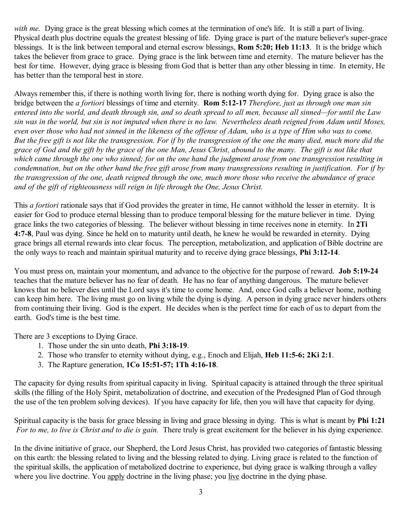*with me.* Dying grace is the great blessing which comes at the termination of one's life. It is still a part of living. Physical death plus doctrine equals the greatest blessing of life. Dying grace is part of the mature believer's super-grace blessings. It is the link between temporal and eternal escrow blessings, **Rom 5:20; Heb 11:13**. It is the bridge which takes the believer from grace to grace. Dying grace is the link between time and eternity. The mature believer has the best for time. However, dying grace is blessing from God that is better than any other blessing in time. In eternity, He has better than the temporal best in store.

Always remember this, if there is nothing worth living for, there is nothing worth dying for. Dying grace is also the bridge between the *a fortiori* blessings of time and eternity. **Rom 5:1217** *Therefore, just as through one man sin entered into the world, and death through sin, and so death spread to all men, because all sinned—for until the Law sin was in the world, but sin is not imputed when there is no law. Nevertheless death reigned from Adam until Moses, even over those who had not sinned in the likeness of the offense of Adam, who is a type of Him who was to come. But the free gift is not like the transgression. For if by the transgression of the one the many died, much more did the grace of God and the gift by the grace of the one Man, Jesus Christ, abound to the many. The gift is not like that which came through the one who sinned; for on the one hand the judgment arose from one transgression resulting in condemnation, but on the other hand the free gift arose from many transgressions resulting in justification. For if by the transgression of the one, death reigned through the one, much more those who receive the abundance of grace and of the gift of righteousness will reign in life through the One, Jesus Christ.*

This *a fortiori* rationale says that if God provides the greater in time, He cannot withhold the lesser in eternity. It is easier for God to produce eternal blessing than to produce temporal blessing for the mature believer in time. Dying grace links the two categories of blessing. The believer without blessing in time receives none in eternity. In **2Ti 4:78**, Paul was dying. Since he held on to maturity until death, he knew he would be rewarded in eternity. Dying grace brings all eternal rewards into clear focus. The perception, metabolization, and application of Bible doctrine are the only ways to reach and maintain spiritual maturity and to receive dying grace blessings, **Phi 3:1214**.

You must press on, maintain your momentum, and advance to the objective for the purpose of reward. **Job 5:1924** teaches that the mature believer has no fear of death. He has no fear of anything dangerous. The mature believer knows that no believer dies until the Lord says it's time to come home. And, once God calls a believer home, nothing can keep him here. The living must go on living while the dying is dying. A person in dying grace never hinders others from continuing their living. God is the expert. He decides when is the perfect time for each of us to depart from the earth. God's time is the best time.

There are 3 exceptions to Dying Grace.

- 1. Those under the sin unto death, **Phi 3:1819**.
- 2. Those who transfer to eternity without dying, e.g., Enoch and Elijah, **Heb 11:56; 2Ki 2:1**.
- 3. The Rapture generation, **1Co 15:5157; 1Th 4:1618**.

The capacity for dying results from spiritual capacity in living. Spiritual capacity is attained through the three spiritual skills (the filling of the Holy Spirit, metabolization of doctrine, and execution of the Predesigned Plan of God through the use of the ten problem solving devices). If you have capacity for life, then you will have that capacity for dying.

Spiritual capacity is the basis for grace blessing in living and grace blessing in dying. This is what is meant by **Phi 1:21** *For to me, to live is Christ and to die is gain.* There truly is great excitement for the believer in his dying experience.

In the divine initiative of grace, our Shepherd, the Lord Jesus Christ, has provided two categories of fantastic blessing on this earth: the blessing related to living and the blessing related to dying. Living grace is related to the function of the spiritual skills, the application of metabolized doctrine to experience, but dying grace is walking through a valley where you live doctrine. You apply doctrine in the living phase; you live doctrine in the dying phase.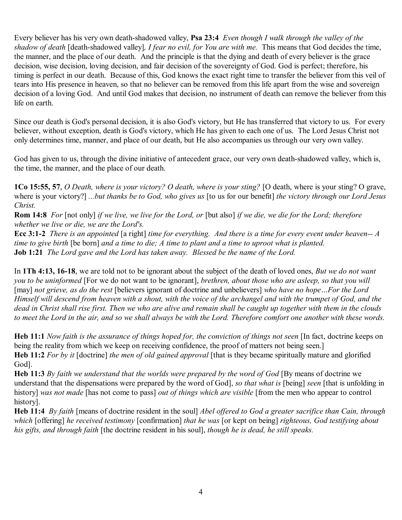Every believer has his very own death-shadowed valley, **Psa 23:4** *Even though I walk through the valley of the shadow of death* [death-shadowed valley], *I fear no evil, for You are with me.* This means that God decides the time, the manner, and the place of our death. And the principle is that the dying and death of every believer is the grace decision, wise decision, loving decision, and fair decision of the sovereignty of God. God is perfect; therefore, his timing is perfect in our death. Because of this, God knows the exact right time to transfer the believer from this veil of tears into His presence in heaven, so that no believer can be removed from this life apart from the wise and sovereign decision of a loving God. And until God makes that decision, no instrument of death can remove the believer from this life on earth.

Since our death is God's personal decision, it is also God's victory, but He has transferred that victory to us. For every believer, without exception, death is God's victory, which He has given to each one of us. The Lord Jesus Christ not only determines time, manner, and place of our death, but He also accompanies us through our very own valley.

God has given to us, through the divine initiative of antecedent grace, our very own death-shadowed valley, which is, the time, the manner, and the place of our death.

**1Co 15:55, 57**, *O Death, where is your victory? O death, where is your sting?* [O death, where is your sting? O grave, where is your victory?] *...but thanks be to God, who gives us* [to us for our benefit] *the victory through our Lord Jesus Christ.*

**Rom 14:8** *For* [not only] *if we live, we live for the Lord, or* [but also] *if we die, we die for the Lord; therefore whether we live or die, we are the Lord's.*

**Ecc 3:1-2** *There is an appointed* [a right] *time for everything. And there is a time for every event under heaven-- A time to give birth* [be born] *and a time to die; A time to plant and a time to uproot what is planted.* **Job 1:21** *The Lord gave and the Lord has taken away. Blessed be the name of the Lord.*

In 1Th 4:13, 16-18, we are told not to be ignorant about the subject of the death of loved ones, *But we do not want you to be uninformed* [For we do not want to be ignorant], *brethren, about those who are asleep, so that you will* [may] *not grieve, as do the rest* [believers ignorant of doctrine and unbelievers] *who have no hope…For the Lord Himself will descend from heaven with a shout, with the voice of the archangel and with the trumpet of God, and the dead in Christ shall rise first. Then we who are alive and remain shall be caught up together with them in the clouds to meet the Lord in the air, and so we shall always be with the Lord. Therefore comfort one another with these words.*

**Heb 11:1** *Now faith is the assurance of things hoped for, the conviction of things not seen* [In fact, doctrine keeps on being the reality from which we keep on receiving confidence, the proof of matters not being seen.] **Heb 11:2** *For by it* [doctrine] *the men of old gained approval* [that is they became spiritually mature and glorified God].

**Heb 11:3** *By faith we understand that the worlds were prepared by the word of God* [By means of doctrine we understand that the dispensations were prepared by the word of God], *so that what is* [being] *seen* [that is unfolding in history] *was not made* [has not come to pass] *out of things which are visible* [from the men who appear to control history].

**Heb 11:4** *By faith* [means of doctrine resident in the soul] *Abel offered to God a greater sacrifice than Cain, through which* [offering] *he received testimony* [confirmation] *that he was* [or kept on being] *righteous, God testifying about his gifts, and through faith* [the doctrine resident in his soul], *though he is dead, he still speaks.*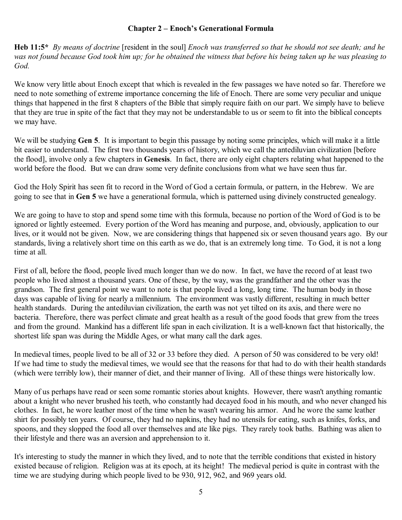#### **Chapter 2 – Enoch's Generational Formula**

**Heb 11:5\*** *By means of doctrine* [resident in the soul] *Enoch was transferred so that he should not see death; and he was not found because God took him up; for he obtained the witness that before his being taken up he was pleasing to God.*

We know very little about Enoch except that which is revealed in the few passages we have noted so far. Therefore we need to note something of extreme importance concerning the life of Enoch. There are some very peculiar and unique things that happened in the first 8 chapters of the Bible that simply require faith on our part. We simply have to believe that they are true in spite of the fact that they may not be understandable to us or seem to fit into the biblical concepts we may have.

We will be studying **Gen 5**. It is important to begin this passage by noting some principles, which will make it a little bit easier to understand. The first two thousands years of history, which we call the antediluvian civilization [before the flood], involve only a few chapters in **Genesis**. In fact, there are only eight chapters relating what happened to the world before the flood. But we can draw some very definite conclusions from what we have seen thus far.

God the Holy Spirit has seen fit to record in the Word of God a certain formula, or pattern, in the Hebrew. We are going to see that in **Gen 5** we have a generational formula, which is patterned using divinely constructed genealogy.

We are going to have to stop and spend some time with this formula, because no portion of the Word of God is to be ignored or lightly esteemed. Every portion of the Word has meaning and purpose, and, obviously, application to our lives, or it would not be given. Now, we are considering things that happened six or seven thousand years ago. By our standards, living a relatively short time on this earth as we do, that is an extremely long time. To God, it is not a long time at all.

First of all, before the flood, people lived much longer than we do now. In fact, we have the record of at least two people who lived almost a thousand years. One of these, by the way, was the grandfather and the other was the grandson. The first general point we want to note is that people lived a long, long time. The human body in those days was capable of living for nearly a millennium. The environment was vastly different, resulting in much better health standards. During the antediluvian civilization, the earth was not yet tilted on its axis, and there were no bacteria. Therefore, there was perfect climate and great health as a result of the good foods that grew from the trees and from the ground. Mankind has a different life span in each civilization. It is a well-known fact that historically, the shortest life span was during the Middle Ages, or what many call the dark ages.

In medieval times, people lived to be all of 32 or 33 before they died. A person of 50 was considered to be very old! If we had time to study the medieval times, we would see that the reasons for that had to do with their health standards (which were terribly low), their manner of diet, and their manner of living. All of these things were historically low.

Many of us perhaps have read or seen some romantic stories about knights. However, there wasn't anything romantic about a knight who never brushed his teeth, who constantly had decayed food in his mouth, and who never changed his clothes. In fact, he wore leather most of the time when he wasn't wearing his armor. And he wore the same leather shirt for possibly ten years. Of course, they had no napkins, they had no utensils for eating, such as knifes, forks, and spoons, and they slopped the food all over themselves and ate like pigs. They rarely took baths. Bathing was alien to their lifestyle and there was an aversion and apprehension to it.

It's interesting to study the manner in which they lived, and to note that the terrible conditions that existed in history existed because of religion. Religion was at its epoch, at its height! The medieval period is quite in contrast with the time we are studying during which people lived to be 930, 912, 962, and 969 years old.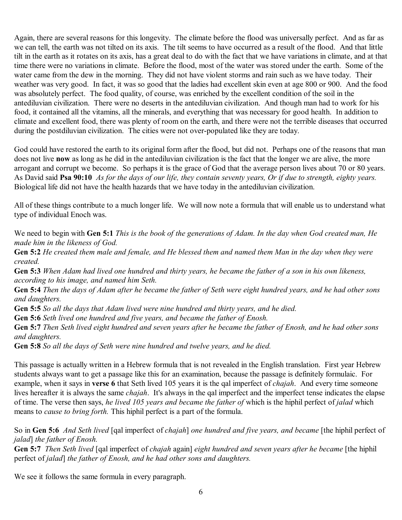Again, there are several reasons for this longevity. The climate before the flood was universally perfect. And as far as we can tell, the earth was not tilted on its axis. The tilt seems to have occurred as a result of the flood. And that little tilt in the earth as it rotates on its axis, has a great deal to do with the fact that we have variations in climate, and at that time there were no variations in climate. Before the flood, most of the water was stored under the earth. Some of the water came from the dew in the morning. They did not have violent storms and rain such as we have today. Their weather was very good. In fact, it was so good that the ladies had excellent skin even at age 800 or 900. And the food was absolutely perfect. The food quality, of course, was enriched by the excellent condition of the soil in the antediluvian civilization. There were no deserts in the antediluvian civilization. And though man had to work for his food, it contained all the vitamins, all the minerals, and everything that was necessary for good health. In addition to climate and excellent food, there was plenty of room on the earth, and there were not the terrible diseases that occurred during the postdiluvian civilization. The cities were not over-populated like they are today.

God could have restored the earth to its original form after the flood, but did not. Perhaps one of the reasons that man does not live **now** as long as he did in the antediluvian civilization is the fact that the longer we are alive, the more arrogant and corrupt we become. So perhaps it is the grace of God that the average person lives about 70 or 80 years. As David said **Psa 90:10** *As for the days of our life, they contain seventy years, Or if due to strength, eighty years.* Biological life did not have the health hazards that we have today in the antediluvian civilization.

All of these things contribute to a much longer life. We will now note a formula that will enable us to understand what type of individual Enoch was.

We need to begin with **Gen 5:1** *This is the book of the generations of Adam. In the day when God created man, He made him in the likeness of God.*

**Gen 5:2** *He created them male and female, and He blessed them and named them Man in the day when they were created.*

**Gen 5:3** *When Adam had lived one hundred and thirty years, he became the father of a son in his own likeness, according to his image, and named him Seth.*

**Gen 5:4** *Then the days of Adam after he became the father of Seth were eight hundred years, and he had other sons and daughters.*

**Gen 5:5** *So all the days that Adam lived were nine hundred and thirty years, and he died.*

**Gen 5:6** *Seth lived one hundred and five years, and became the father of Enosh.*

**Gen 5:7** *Then Seth lived eight hundred and seven years after he became the father of Enosh, and he had other sons and daughters.*

**Gen 5:8** *So all the days of Seth were nine hundred and twelve years, and he died.*

This passage is actually written in a Hebrew formula that is not revealed in the English translation. First year Hebrew students always want to get a passage like this for an examination, because the passage is definitely formulaic. For example, when it says in **verse 6** that Seth lived 105 years it is the qal imperfect of *chajah*. And every time someone lives hereafter it is always the same *chajah*. It's always in the qal imperfect and the imperfect tense indicates the elapse of time. The verse then says, *he lived 105 years and became the father of* which is the hiphil perfect of *jalad* which means to *cause to bring forth.* This hiphil perfect is a part of the formula.

So in **Gen 5:6** *And Seth lived* [qal imperfect of *chajah*] *one hundred and five years, and became* [the hiphil perfect of *jalad*] *the father of Enosh.*

**Gen 5:7** *Then Seth lived* [qal imperfect of *chajah* again] *eight hundred and seven years after he became* [the hiphil perfect of *jalad*] *the father of Enosh, and he had other sons and daughters.*

We see it follows the same formula in every paragraph.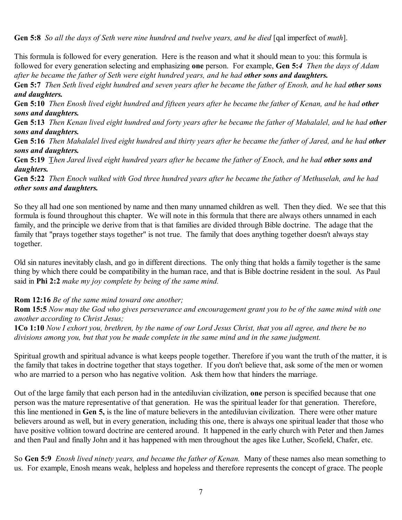**Gen 5:8** *So all the days of Seth were nine hundred and twelve years, and he died* [qal imperfect of *muth*].

This formula is followed for every generation. Here is the reason and what it should mean to you: this formula is followed for every generation selecting and emphasizing **one** person. For example, **Gen 5:***4 Then the days of Adam after he became the father of Seth were eight hundred years, and he had other sons and daughters.*

**Gen 5:7** *Then Seth lived eight hundred and seven years after he became the father of Enosh, and he had other sons and daughters.*

**Gen 5:10** *Then Enosh lived eight hundred and fifteen years after he became the father of Kenan, and he had other sons and daughters.*

**Gen 5:13** *Then Kenan lived eight hundred and forty years after he became the father of Mahalalel, and he had other sons and daughters.*

**Gen 5:16** *Then Mahalalel lived eight hundred and thirty years after he became the father of Jared, and he had other sons and daughters.*

**Gen 5:19** T*hen Jared lived eight hundred years after he became the father of Enoch, and he had other sons and daughters.*

**Gen 5:22** *Then Enoch walked with God three hundred years after he became the father of Methuselah, and he had other sons and daughters.*

So they all had one son mentioned by name and then many unnamed children as well. Then they died. We see that this formula is found throughout this chapter. We will note in this formula that there are always others unnamed in each family, and the principle we derive from that is that families are divided through Bible doctrine. The adage that the family that "prays together stays together" is not true. The family that does anything together doesn't always stay together.

Old sin natures inevitably clash, and go in different directions. The only thing that holds a family together is the same thing by which there could be compatibility in the human race, and that is Bible doctrine resident in the soul. As Paul said in **Phi 2:2** *make my joy complete by being of the same mind.*

#### **Rom 12:16** *Be of the same mind toward one another;*

**Rom 15:5** *Now may the God who gives perseverance and encouragement grant you to be of the same mind with one another according to Christ Jesus;*

**1Co 1:10** *Now I exhort you, brethren, by the name of our Lord Jesus Christ, that you all agree, and there be no divisions among you, but that you be made complete in the same mind and in the same judgment.*

Spiritual growth and spiritual advance is what keeps people together. Therefore if you want the truth of the matter, it is the family that takes in doctrine together that stays together. If you don't believe that, ask some of the men or women who are married to a person who has negative volition. Ask them how that hinders the marriage.

Out of the large family that each person had in the antediluvian civilization, **one** person is specified because that one person was the mature representative of that generation. He was the spiritual leader for that generation. Therefore, this line mentioned in **Gen 5,** is the line of mature believers in the antediluvian civilization. There were other mature believers around as well, but in every generation, including this one, there is always one spiritual leader that those who have positive volition toward doctrine are centered around. It happened in the early church with Peter and then James and then Paul and finally John and it has happened with men throughout the ages like Luther, Scofield, Chafer, etc.

So **Gen 5:9** *Enosh lived ninety years, and became the father of Kenan.* Many of these names also mean something to us. For example, Enosh means weak, helpless and hopeless and therefore represents the concept of grace. The people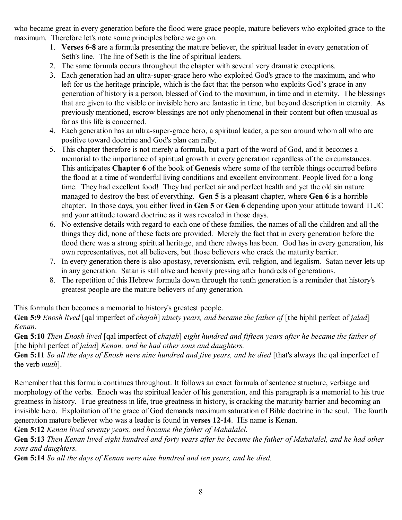who became great in every generation before the flood were grace people, mature believers who exploited grace to the maximum. Therefore let's note some principles before we go on.

- 1. **Verses 68** are a formula presenting the mature believer, the spiritual leader in every generation of Seth's line. The line of Seth is the line of spiritual leaders.
- 2. The same formula occurs throughout the chapter with several very dramatic exceptions.
- 3. Each generation had an ultra-super-grace hero who exploited God's grace to the maximum, and who left for us the heritage principle, which is the fact that the person who exploits God's grace in any generation of history is a person, blessed of God to the maximum, in time and in eternity. The blessings that are given to the visible or invisible hero are fantastic in time, but beyond description in eternity. As previously mentioned, escrow blessings are not only phenomenal in their content but often unusual as far as this life is concerned.
- 4. Each generation has an ultra-super-grace hero, a spiritual leader, a person around whom all who are positive toward doctrine and God's plan can rally.
- 5. This chapter therefore is not merely a formula, but a part of the word of God, and it becomes a memorial to the importance of spiritual growth in every generation regardless of the circumstances. This anticipates **Chapter 6** of the book of **Genesis** where some of the terrible things occurred before the flood at a time of wonderful living conditions and excellent environment. People lived for a long time. They had excellent food! They had perfect air and perfect health and yet the old sin nature managed to destroy the best of everything. **Gen 5** is a pleasant chapter, where **Gen 6** is a horrible chapter. In those days, you either lived in **Gen 5** or **Gen 6** depending upon your attitude toward TLJC and your attitude toward doctrine as it was revealed in those days.
- 6. No extensive details with regard to each one of these families, the names of all the children and all the things they did, none of these facts are provided. Merely the fact that in every generation before the flood there was a strong spiritual heritage, and there always has been. God has in every generation, his own representatives, not all believers, but those believers who crack the maturity barrier.
- 7. In every generation there is also apostasy, reversionism, evil, religion, and legalism. Satan never lets up in any generation. Satan is still alive and heavily pressing after hundreds of generations.
- 8. The repetition of this Hebrew formula down through the tenth generation is a reminder that history's greatest people are the mature believers of any generation.

This formula then becomes a memorial to history's greatest people.

**Gen 5:9** *Enosh lived* [qal imperfect of *chajah*] *ninety years, and became the father of* [the hiphil perfect of *jalad*] *Kenan.*

**Gen 5:10** *Then Enosh lived* [qal imperfect of *chajah*] *eight hundred and fifteen years after he became the father of* [the hiphil perfect of *jalad*] *Kenan, and he had other sons and daughters.*

**Gen 5:11** *So all the days of Enosh were nine hundred and five years, and he died* [that's always the qal imperfect of the verb *muth*].

Remember that this formula continues throughout. It follows an exact formula of sentence structure, verbiage and morphology of the verbs. Enoch was the spiritual leader of his generation, and this paragraph is a memorial to his true greatness in history. True greatness in life, true greatness in history, is cracking the maturity barrier and becoming an invisible hero. Exploitation of the grace of God demands maximum saturation of Bible doctrine in the soul. The fourth generation mature believer who was a leader is found in **verses 1214**. His name is Kenan.

**Gen 5:12** *Kenan lived seventy years, and became the father of Mahalalel.*

**Gen 5:13** *Then Kenan lived eight hundred and forty years after he became the father of Mahalalel, and he had other sons and daughters.*

**Gen 5:14** *So all the days of Kenan were nine hundred and ten years, and he died.*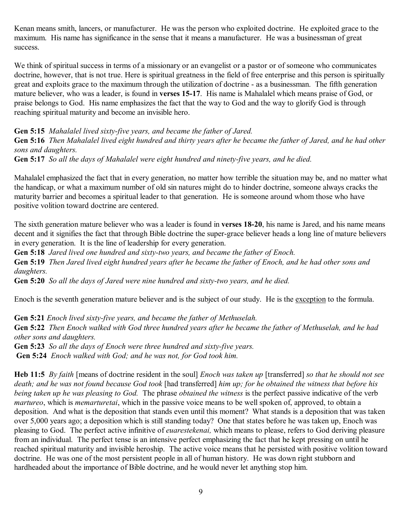Kenan means smith, lancers, or manufacturer. He was the person who exploited doctrine. He exploited grace to the maximum. His name has significance in the sense that it means a manufacturer. He was a businessman of great success.

We think of spiritual success in terms of a missionary or an evangelist or a pastor or of someone who communicates doctrine, however, that is not true. Here is spiritual greatness in the field of free enterprise and this person is spiritually great and exploits grace to the maximum through the utilization of doctrine - as a businessman. The fifth generation mature believer, who was a leader, is found in **verses 15-17**. His name is Mahalalel which means praise of God, or praise belongs to God. His name emphasizes the fact that the way to God and the way to glorify God is through reaching spiritual maturity and become an invisible hero.

**Gen 5:15** *Mahalalel lived sixty-five years, and became the father of Jared.* **Gen 5:16** *Then Mahalalel lived eight hundred and thirty years after he became the father of Jared, and he had other sons and daughters.*

**Gen 5:17** *So all the days of Mahalalel were eight hundred and ninetyfive years, and he died.*

Mahalalel emphasized the fact that in every generation, no matter how terrible the situation may be, and no matter what the handicap, or what a maximum number of old sin natures might do to hinder doctrine, someone always cracks the maturity barrier and becomes a spiritual leader to that generation. He is someone around whom those who have positive volition toward doctrine are centered.

The sixth generation mature believer who was a leader is found in **verses 1820**, his name is Jared, and his name means decent and it signifies the fact that through Bible doctrine the super-grace believer heads a long line of mature believers in every generation. It is the line of leadership for every generation.

**Gen 5:18** *Jared lived one hundred and sixty-two years, and became the father of Enoch.* **Gen 5:19** *Then Jared lived eight hundred years after he became the father of Enoch, and he had other sons and daughters.*

**Gen 5:20** *So all the days of Jared were nine hundred and sixty-two years, and he died.* 

Enoch is the seventh generation mature believer and is the subject of our study. He is the exception to the formula.

**Gen 5:21** *Enoch lived sixty-five years, and became the father of Methuselah.* **Gen 5:22** *Then Enoch walked with God three hundred years after he became the father of Methuselah, and he had other sons and daughters.*

**Gen 5:23** *So all the days of Enoch were three hundred and sixty-five years.* 

**Gen 5:24** *Enoch walked with God; and he was not, for God took him.*

**Heb 11:5** *By faith* [means of doctrine resident in the soul] *Enoch was taken up* [transferred] *so that he should not see death; and he was not found because God took* [had transferred] *him up; for he obtained the witness that before his being taken up he was pleasing to God.* The phrase *obtained the witness* is the perfect passive indicative of the verb *martureo*, which is *memarturetai*, which in the passive voice means to be well spoken of, approved, to obtain a deposition. And what is the deposition that stands even until this moment? What stands is a deposition that was taken over 5,000 years ago; a deposition which is still standing today? One that states before he was taken up, Enoch was pleasing to God. The perfect active infinitive of *euarestekenai,* which means to please, refers to God deriving pleasure from an individual. The perfect tense is an intensive perfect emphasizing the fact that he kept pressing on until he reached spiritual maturity and invisible heroship. The active voice means that he persisted with positive volition toward doctrine. He was one of the most persistent people in all of human history. He was down right stubborn and hardheaded about the importance of Bible doctrine, and he would never let anything stop him.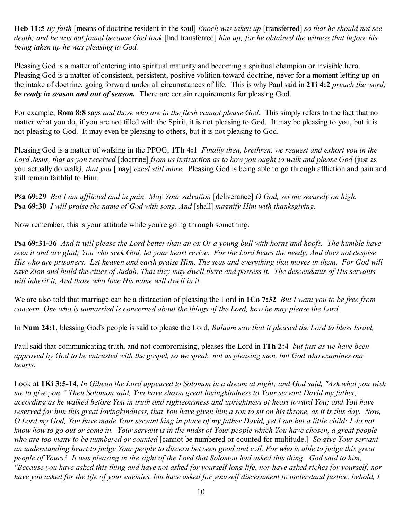**Heb 11:5** *By faith* [means of doctrine resident in the soul] *Enoch was taken up* [transferred] *so that he should not see death; and he was not found because God took* [had transferred] *him up; for he obtained the witness that before his being taken up he was pleasing to God.*

Pleasing God is a matter of entering into spiritual maturity and becoming a spiritual champion or invisible hero. Pleasing God is a matter of consistent, persistent, positive volition toward doctrine, never for a moment letting up on the intake of doctrine, going forward under all circumstances of life. This is why Paul said in **2Ti 4:2** *preach the word; be ready in season and out of season.* There are certain requirements for pleasing God.

For example, **Rom 8:8** says *and those who are in the flesh cannot please God.* This simply refers to the fact that no matter what you do, if you are not filled with the Spirit, it is not pleasing to God. It may be pleasing to you, but it is not pleasing to God. It may even be pleasing to others, but it is not pleasing to God.

Pleasing God is a matter of walking in the PPOG, **1Th 4:1** *Finally then, brethren, we request and exhort you in the Lord Jesus, that as you received* [doctrine] *from us instruction as to how you ought to walk and please God* (just as you actually do walk*), that you* [may] *excel still more.* Pleasing God is being able to go through affliction and pain and still remain faithful to Him.

**Psa 69:29** *But I am afflicted and in pain; May Your salvation* [deliverance] *O God, set me securely on high.* **Psa 69:30** *I will praise the name of God with song, And* [shall] *magnify Him with thanksgiving.*

Now remember, this is your attitude while you're going through something.

**Psa 69:3136** *And it will please the Lord better than an ox Or a young bull with horns and hoofs. The humble have seen it and are glad; You who seek God, let your heart revive. For the Lord hears the needy, And does not despise His who are prisoners. Let heaven and earth praise Him, The seas and everything that moves in them. For God will save Zion and build the cities of Judah, That they may dwell there and possess it. The descendants of His servants will inherit it, And those who love His name will dwell in it.*

We are also told that marriage can be a distraction of pleasing the Lord in **1Co 7:32** *But I want you to be free from concern. One who is unmarried is concerned about the things of the Lord, how he may please the Lord.*

In **Num 24:1**, blessing God's people is said to please the Lord, *Balaam saw that it pleased the Lord to bless Israel,*

Paul said that communicating truth, and not compromising, pleases the Lord in **1Th 2:4** *but just as we have been approved by God to be entrusted with the gospel, so we speak, not as pleasing men, but God who examines our hearts.*

Look at **1Ki 3:514**, *In Gibeon the Lord appeared to Solomon in a dream at night; and God said, "Ask what you wish me to give you." Then Solomon said, You have shown great lovingkindness to Your servant David my father, according as he walked before You in truth and righteousness and uprightness of heart toward You; and You have reserved for him this great lovingkindness, that You have given him a son to sit on his throne, as it is this day. Now, O Lord my God, You have made Your servant king in place of my father David, yet I am but a little child; I do not know how to go out or come in. Your servant is in the midst of Your people which You have chosen, a great people who are too many to be numbered or counted* [cannot be numbered or counted for multitude.] *So give Your servant an understanding heart to judge Your people to discern between good and evil. For who is able to judge this great people of Yours? It was pleasing in the sight of the Lord that Solomon had asked this thing. God said to him, "Because you have asked this thing and have not asked for yourself long life, nor have asked riches for yourself, nor have you asked for the life of your enemies, but have asked for yourself discernment to understand justice, behold, I*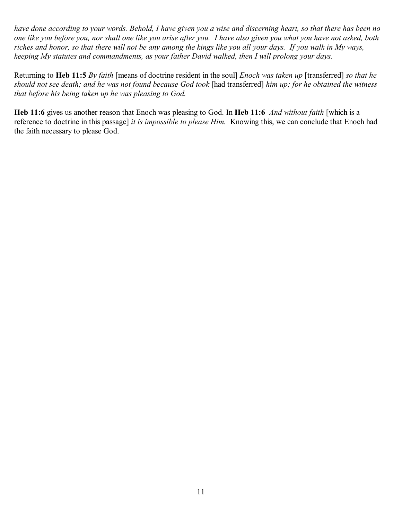*have done according to your words. Behold, I have given you a wise and discerning heart, so that there has been no one like you before you, nor shall one like you arise after you. I have also given you what you have not asked, both riches and honor, so that there will not be any among the kings like you all your days. If you walk in My ways, keeping My statutes and commandments, as your father David walked, then I will prolong your days.*

Returning to **Heb 11:5** *By faith* [means of doctrine resident in the soul] *Enoch was taken up* [transferred] *so that he should not see death; and he was not found because God took* [had transferred] *him up; for he obtained the witness that before his being taken up he was pleasing to God.*

**Heb 11:6** gives us another reason that Enoch was pleasing to God. In **Heb 11:6** *And without faith* [which is a reference to doctrine in this passage] *it is impossible to please Him.* Knowing this, we can conclude that Enoch had the faith necessary to please God.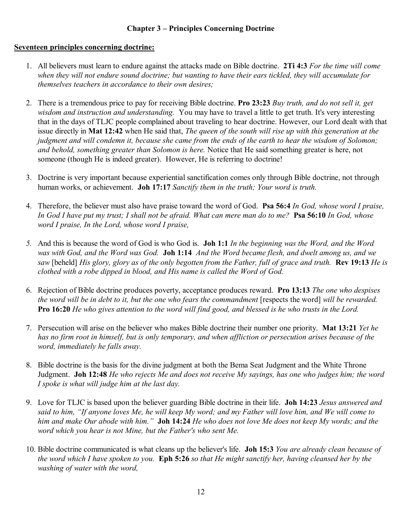# **Chapter 3 – Principles Concerning Doctrine**

#### **Seventeen principles concerning doctrine:**

- 1. All believers must learn to endure against the attacks made on Bible doctrine. **2Ti 4:3** *For the time will come when they will not endure sound doctrine; but wanting to have their ears tickled, they will accumulate for themselves teachers in accordance to their own desires;*
- 2. There is a tremendous price to pay for receiving Bible doctrine. **Pro 23:23** *Buy truth, and do not sell it, get wisdom and instruction and understanding.* You may have to travel a little to get truth. It's very interesting that in the days of TLJC people complained about traveling to hear doctrine. However, our Lord dealt with that issue directly in **Mat 12:42** when He said that, *The queen of the south will rise up with this generation at the judgment and will condemn it, because she came from the ends of the earth to hear the wisdom of Solomon; and behold, something greater than Solomon is here.* Notice that He said something greater is here, not someone (though He is indeed greater). However, He is referring to doctrine!
- 3. Doctrine is very important because experiential sanctification comes only through Bible doctrine, not through human works, or achievement. **Joh 17:17** *Sanctify them in the truth; Your word is truth.*
- 4. Therefore, the believer must also have praise toward the word of God. **Psa 56:4** *In God, whose word I praise, In God I have put my trust; I shall not be afraid. What can mere man do to me?* **Psa 56:10** *In God, whose word I praise, In the Lord, whose word I praise,*
- *5.* And this is because the word of God is who God is. **Joh 1:1** *In the beginning was the Word, and the Word was with God, and the Word was God.* **Joh 1:14** *And the Word became flesh, and dwelt among us, and we saw* [beheld] *His glory, glory as of the only begotten from the Father, full of grace and truth.* **Rev 19:13** *He is clothed with a robe dipped in blood, and His name is called the Word of God.*
- 6. Rejection of Bible doctrine produces poverty, acceptance produces reward. **Pro 13:13** *The one who despises the word will be in debt to it, but the one who fears the commandment* [respects the word] *will be rewarded.* **Pro 16:20** *He who gives attention to the word will find good, and blessed is he who trusts in the Lord.*
- 7. Persecution will arise on the believer who makes Bible doctrine their number one priority. **Mat 13:21** *Yet he has no firm root in himself, but is only temporary, and when affliction or persecution arises because of the word, immediately he falls away.*
- 8. Bible doctrine is the basis for the divine judgment at both the Bema Seat Judgment and the White Throne Judgment. **Joh 12:48** *He who rejects Me and does not receive My sayings, has one who judges him; the word I spoke is what will judge him at the last day.*
- 9. Love for TLJC isbased upon the believer guarding Bible doctrine in their life. **Joh 14:23** *Jesus answered and said to him, "If anyone loves Me, he will keep My word; and my Father will love him, and We will come to him and make Our abode with him."* **Joh 14:24** *He who does not love Me does not keep My words; and the word which you hear is not Mine, but the Father's who sent Me.*
- 10. Bible doctrine communicated is what cleans up the believer's life. **Joh 15:3** *You are already clean because of the word which I have spoken to you.* **Eph 5:26** *so that He might sanctify her, having cleansed her by the washing of water with the word,*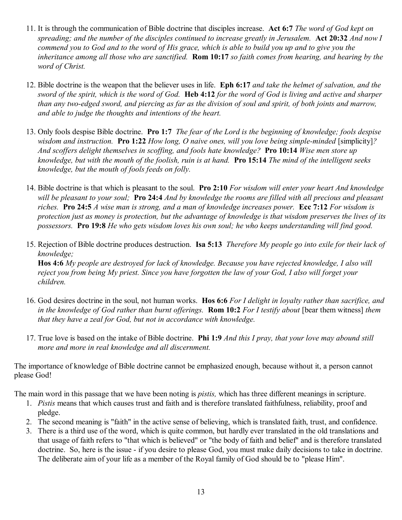- 11. It is through the communication of Bible doctrine that disciples increase. **Act 6:7** *The word of God kept on spreading; and the number of the disciples continued to increase greatly in Jerusalem.* **Act 20:32** *And now I commend you to God and to the word of His grace, which is able to build you up and to give you the inheritance among all those who are sanctified.* **Rom 10:17** *so faith comes from hearing, and hearing by the word of Christ.*
- 12. Bible doctrine is the weapon that the believer uses in life. **Eph 6:17** *and take the helmet of salvation, and the sword of the spirit, which is the word of God.* **Heb 4:12** *for the word of God is living and active and sharper than any twoedged sword, and piercing as far as the division of soul and spirit, of both joints and marrow, and able to judge the thoughts and intentions of the heart.*
- 13. Only fools despise Bible doctrine. **Pro 1:7** *The fear of the Lord is the beginning of knowledge; fools despise wisdom and instruction.* **Pro 1:22** *How long, O naive ones, will you love being simpleminded* [simplicity]*? And scoffers delight themselves in scoffing, and fools hate knowledge?* **Pro 10:14** *Wise men store up knowledge, but with the mouth of the foolish, ruin is at hand.* **Pro 15:14** *The mind of the intelligent seeks knowledge, but the mouth of fools feeds on folly.*
- 14. Bible doctrine is that which is pleasant to the soul. **Pro 2:10** *For wisdom will enter your heart And knowledge will be pleasant to your soul;* **Pro 24:4** *And by knowledge the rooms are filled with all precious and pleasant riches.* **Pro 24:5** *A wise man is strong, and a man of knowledge increases power.* **Ecc 7:12** *For wisdom is protection just as money is protection, but the advantage of knowledge is that wisdom preserves the lives of its possessors.* **Pro 19:8** *He who gets wisdom loves his own soul; he who keeps understanding will find good.*
- 15. Rejection of Bible doctrine produces destruction. **Isa 5:13** *Therefore My people go into exile for their lack of knowledge;*

**Hos 4:6** *My people are destroyed for lack of knowledge. Because you have rejected knowledge, I also will reject you from being My priest. Since you have forgotten the law of your God, I also will forget your children.*

- 16. God desires doctrine in the soul, not human works. **Hos 6:6** *For I delight in loyalty rather than sacrifice, and in the knowledge of God rather than burnt offerings.* **Rom 10:2** *For I testify about* [bear them witness] *them that they have a zeal for God, but not in accordance with knowledge.*
- 17. True love is based on the intake of Bible doctrine. **Phi 1:9** *And this I pray, that your love may abound still more and more in real knowledge and all discernment.*

The importance of knowledge of Bible doctrine cannot be emphasized enough, because without it, a person cannot please God!

The main word in this passage that we have been noting is *pistis,* which has three different meanings in scripture.

- 1. *Pistis* means that which causes trust and faith and is therefore translated faithfulness, reliability, proof and pledge.
- 2. The second meaning is "faith" in the active sense of believing, which is translated faith, trust, and confidence.
- 3. There is a third use of the word, which is quite common, but hardly ever translated in the old translations and that usage of faith refers to "that which is believed" or "the body of faith and belief" and is therefore translated doctrine. So, here is the issue - if you desire to please God, you must make daily decisions to take in doctrine. The deliberate aim of your life as a member of the Royal family of God should be to "please Him".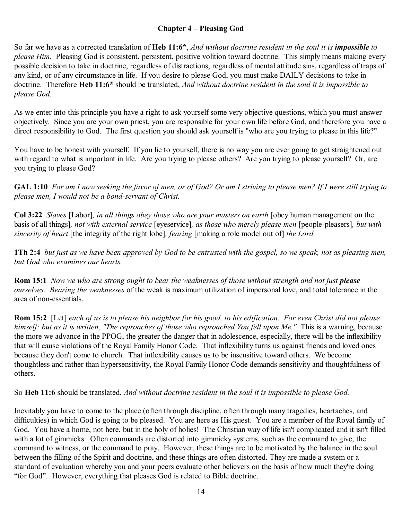# **Chapter 4 – Pleasing God**

So far we have as a corrected translation of **Heb 11:6\***, *And without doctrine resident in the soul it is impossible to please Him.* Pleasing God is consistent, persistent, positive volition toward doctrine. This simply means making every possible decision to take in doctrine, regardless of distractions, regardless of mental attitude sins, regardless of traps of any kind, or of any circumstance in life. If you desire to please God, you must make DAILY decisions to take in doctrine. Therefore **Heb 11:6\*** should be translated, *And without doctrine resident in the soul it is impossible to please God.*

As we enter into this principle you have a right to ask yourself some very objective questions, which you must answer objectively. Since you are your own priest, you are responsible for your own life before God, and therefore you have a direct responsibility to God. The first question you should ask yourself is "who are you trying to please in this life?"

You have to be honest with yourself. If you lie to yourself, there is no way you are ever going to get straightened out with regard to what is important in life. Are you trying to please others? Are you trying to please yourself? Or, are you trying to please God?

**GAL 1:10** *For am I now seeking the favor of men, or of God? Or am I striving to please men? If I were still trying to please men, I would not be a bond-servant of Christ.* 

**Col 3:22** *Slaves* [Labor]*, in all things obey those who are your masters on earth* [obey human management on the basis of all things]*, not with external service* [eyeservice]*, as those who merely please men* [peoplepleasers]*, but with sincerity of heart* [the integrity of the right lobe]*, fearing* [making a role model out of] *the Lord.*

**1Th 2:4** *but just as we have been approved by God to be entrusted with the gospel, so we speak, not as pleasing men, but God who examines our hearts.*

**Rom 15:1** *Now we who are strong ought to bear the weaknesses of those without strength and not just please ourselves. Bearing the weaknesses* of the weak is maximum utilization of impersonal love, and total tolerance in the area of non-essentials.

**Rom 15:2** [Let] *each of us is to please his neighbor for his good, to his edification. For even Christ did not please himself; but as it is written, "The reproaches of those who reproached You fell upon Me."* This is a warning, because the more we advance in the PPOG, the greater the danger that in adolescence, especially, there will be the inflexibility that will cause violations of the Royal Family Honor Code. That inflexibility turns us against friends and loved ones because they don't come to church. That inflexibility causes us to be insensitive toward others. We become thoughtless and rather than hypersensitivity, the Royal Family Honor Code demands sensitivity and thoughtfulness of others.

So **Heb 11:6** should be translated, *And without doctrine resident in the soul it is impossible to please God.*

Inevitably you have to come to the place (often through discipline, often through many tragedies, heartaches, and difficulties) in which God is going to be pleased. You are here as His guest. You are a member of the Royal family of God. You have a home, not here, but in the holy of holies! The Christian way of life isn't complicated and it isn't filled with a lot of gimmicks. Often commands are distorted into gimmicky systems, such as the command to give, the command to witness, or the command to pray. However, these things are to be motivated by the balance in the soul between the filling of the Spirit and doctrine, and these things are often distorted. They are made a system or a standard of evaluation whereby you and your peers evaluate other believers on the basis of how much they're doing "for God". However, everything that pleases God is related to Bible doctrine.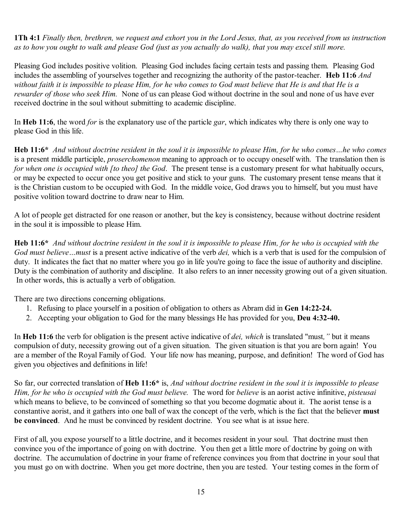**1Th 4:1** *Finally then, brethren, we request and exhort you in the Lord Jesus, that, as you received from us instruction as to how you ought to walk and please God (just as you actually do walk), that you may excel still more.*

Pleasing God includes positive volition. Pleasing God includes facing certain tests and passing them. Pleasing God includes the assembling of yourselves together and recognizing the authority of the pastor-teacher. **Heb 11:6** *And without faith it is impossible to please Him, for he who comes to God must believe that He is and that He is a rewarder of those who seek Him.* None of us can please God without doctrine in the soul and none of us have ever received doctrine in the soul without submitting to academic discipline.

In **Heb 11:6**, the word *for* is the explanatory use of the particle *gar*, which indicates why there is only one way to please God in this life.

**Heb 11:6\*** *And without doctrine resident in the soul it is impossible to please Him, for he who comes…he who comes* is a present middle participle, *proserchomenon* meaning to approach or to occupy oneself with. The translation then is *for when one is occupied with [to theo] the God*. The present tense is a customary present for what habitually occurs, or may be expected to occur once you get positive and stick to your guns. The customary present tense means that it is the Christian custom to be occupied with God. In the middle voice, God draws you to himself, but you must have positive volition toward doctrine to draw near to Him.

A lot of people get distracted for one reason or another, but the key is consistency, because without doctrine resident in the soul it is impossible to please Him.

**Heb 11:6\*** *And without doctrine resident in the soul it is impossible to please Him, for he who is occupied with the God must believe…must* is a present active indicative of the verb *dei,* which is a verb that is used for the compulsion of duty. It indicates the fact that no matter where you go in life you're going to face the issue of authority and discipline. Duty is the combination of authority and discipline. It also refers to an inner necessity growing out of a given situation. In other words, this is actually a verb of obligation.

There are two directions concerning obligations.

- 1. Refusing to place yourself in a position of obligation to others as Abram did in **Gen 14:2224.**
- 2. Accepting your obligation to God for the many blessings He has provided for you, **Deu 4:3240.**

In **Heb 11:6** the verb for obligation is the present active indicative of *dei, which* is translated "must*,"* but it means compulsion of duty, necessity growing out of a given situation. The given situation is that you are born again! You are a member of the Royal Family of God. Your life now has meaning, purpose, and definition! The word of God has given you objectives and definitions in life!

So far, our corrected translation of **Heb 11:6\*** is, *And without doctrine resident in the soul it is impossible to please Him, for he who is occupied with the God must believe.* The word for *believe* is an aorist active infinitive, *pisteusai* which means to believe, to be convinced of something so that you become dogmatic about it. The aorist tense is a constantive aorist, and it gathers into one ball of wax the concept of the verb, which is the fact that the believer **must be convinced**. And he must be convinced by resident doctrine. You see what is at issue here.

First of all, you expose yourself to a little doctrine, and it becomes resident in your soul. That doctrine must then convince you of the importance of going on with doctrine. You then get a little more of doctrine by going on with doctrine. The accumulation of doctrine in your frame of reference convinces you from that doctrine in your soul that you must go on with doctrine. When you get more doctrine, then you are tested. Your testing comes in the form of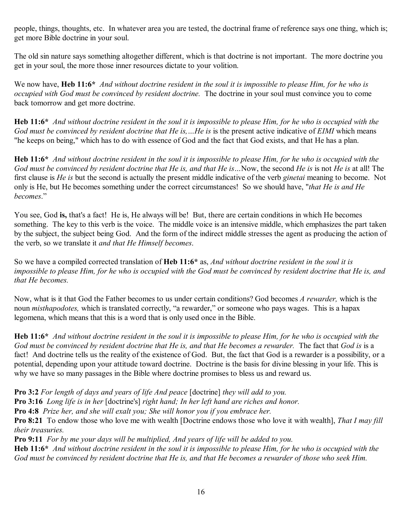people, things, thoughts, etc. In whatever area you are tested, the doctrinal frame of reference says one thing, which is; get more Bible doctrine in your soul.

The old sin nature says something altogether different, which is that doctrine is not important. The more doctrine you get in your soul, the more those inner resources dictate to your volition.

We now have, **Heb 11:6\*** *And without doctrine resident in the soul it is impossible to please Him, for he who is occupied with God must be convinced by resident doctrine.* The doctrine in your soul must convince you to come back tomorrow and get more doctrine.

**Heb 11:6\*** *And without doctrine resident in the soul it is impossible to please Him, for he who is occupied with the God must be convinced by resident doctrine that He is, ...He is is the present active indicative of <i>EIMI* which means "he keeps on being," which has to do with essence of God and the fact that God exists, and that He has a plan.

**Heb 11:6\*** *And without doctrine resident in the soul it is impossible to please Him, for he who is occupied with the God must be convinced by resident doctrine that He is, and that He is…*Now, the second *He is* is not *He is* at all! The first clause is *He is* but the second is actually the present middle indicative of the verb *ginetai* meaning to become. Not only is He, but He becomes something under the correct circumstances! So we should have, "*that He is and He becomes*."

You see, God is, that's a fact! He is, He always will be! But, there are certain conditions in which He becomes something. The key to this verb is the voice. The middle voice is an intensive middle, which emphasizes the part taken by the subject, the subject being God. And the form of the indirect middle stresses the agent as producing the action of the verb, so we translate it *and that He Himself becomes*.

So we have a compiled corrected translation of **Heb 11:6\*** as, *And without doctrine resident in the soul it is impossible to please Him, for he who is occupied with the God must be convinced by resident doctrine that He is, and that He becomes.*

Now, what is it that God the Father becomes to us under certain conditions? God becomes *A rewarder,* which is the noun *misthapodotes,* which is translated correctly, "a rewarder," or someone who pays wages. This is a hapax legomena, which means that this is a word that is only used once in the Bible.

**Heb 11:6\*** *And without doctrine resident in the soul it is impossible to please Him, for he who is occupied with the God must be convinced by resident doctrine that He is, and that He becomes a rewarder.* The fact that *God is* is a fact! And doctrine tells us the reality of the existence of God. But, the fact that God is a rewarder is a possibility, or a potential, depending upon your attitude toward doctrine. Doctrine is the basis for divine blessing in your life. This is why we have so many passages in the Bible where doctrine promises to bless us and reward us.

**Pro 3:2** *For length of days and years of life And peace* [doctrine] *they will add to you.*

**Pro 3:16** *Long life is in her* [doctrine's] *right hand; In her left hand are riches and honor.*

**Pro 4:8** *Prize her, and she will exalt you; She will honor you if you embrace her.*

**Pro 8:21** To endow those who love me with wealth [Doctrine endows those who love it with wealth], *That I may fill their treasuries.*

**Pro 9:11** *For by me your days will be multiplied, And years of life will be added to you.*

**Heb 11:6\*** *And without doctrine resident in the soul it is impossible to please Him, for he who is occupied with the God must be convinced by resident doctrine that He is, and that He becomes a rewarder of those who seek Him.*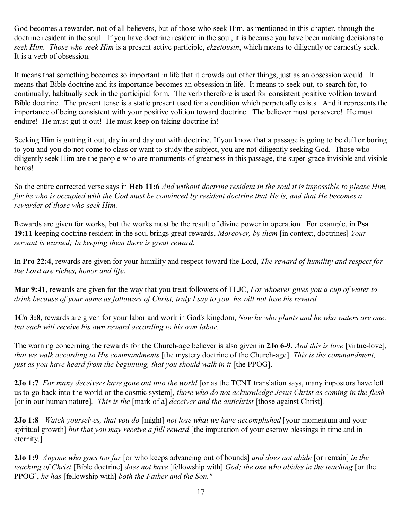God becomes a rewarder, not of all believers, but of those who seek Him, as mentioned in this chapter, through the doctrine resident in the soul. If you have doctrine resident in the soul, it is because you have been making decisions to *seek Him. Those who seek Him* is a present active participle, *ekzetousin*, which means to diligently or earnestly seek. It is a verb of obsession.

It means that something becomes so important in life that it crowds out other things, just as an obsession would. It means that Bible doctrine and its importance becomes an obsession in life. It means to seek out, to search for, to continually, habitually seek in the participial form. The verb therefore is used for consistent positive volition toward Bible doctrine. The present tense is a static present used for a condition which perpetually exists. And it represents the importance of being consistent with your positive volition toward doctrine. The believer must persevere! He must endure! He must gut it out! He must keep on taking doctrine in!

Seeking Him is gutting it out, day in and day out with doctrine. If you know that a passage is going to be dull or boring to you and you do not come to class or want to study the subject, you are not diligently seeking God. Those who diligently seek Him are the people who are monuments of greatness in this passage, the super-grace invisible and visible heros!

So the entire corrected verse says in **Heb 11:6** *And without doctrine resident in the soul it is impossible to please Him, for he who is occupied with the God must be convinced by resident doctrine that He is, and that He becomes a rewarder of those who seek Him.*

Rewards are given for works, but the works must be the result of divine power in operation. For example, in **Psa 19:11** keeping doctrine resident in the soul brings great rewards, *Moreover, by them* [in context, doctrines] *Your servant is warned; In keeping them there is great reward.*

In **Pro 22:4**, rewards are given for your humility and respect toward the Lord, *The reward of humility and respect for the Lord are riches, honor and life.*

**Mar 9:41**, rewards are given for the way that you treat followers of TLJC, *For whoever gives you a cup of water to drink because of your name as followers of Christ, truly I say to you, he will not lose his reward.*

**1Co 3:8**, rewards are given for your labor and work in God's kingdom, *Now he who plants and he who waters are one; but each will receive his own reward according to his own labor.*

The warning concerning the rewards for the Church-age believer is also given in 2Jo 6-9, *And this is love* [virtue-love], *that we walk according to His commandments* [the mystery doctrine of the Church-age]. *This is the commandment*, *just as you have heard from the beginning, that you should walk in it* [the PPOG].

**2Jo 1:7** *For many deceivers have gone out into the world* [or as the TCNT translation says, many impostors have left us to go back into the world or the cosmic system]*, those who do not acknowledge Jesus Christ as coming in the flesh* [or in our human nature]*. This is the* [mark of a] *deceiver and the antichrist* [those against Christ]*.*

**2Jo 1:8** *Watch yourselves, that you do* [might] *not lose what we have accomplished* [your momentum and your spiritual growth] *but that you may receive a full reward* [the imputation of your escrow blessings in time and in eternity.]

**2Jo 1:9** *Anyone who goes too far* [or who keeps advancing out of bounds] *and does not abide* [or remain] *in the teaching of Christ* [Bible doctrine] *does not have* [fellowship with] *God; the one who abides in the teaching* [or the PPOG], *he has* [fellowship with] *both the Father and the Son."*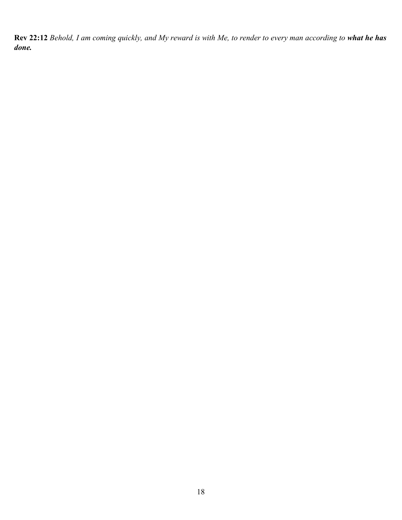**Rev 22:12** *Behold, I am coming quickly, and My reward is with Me, to render to every man according to what he has done.*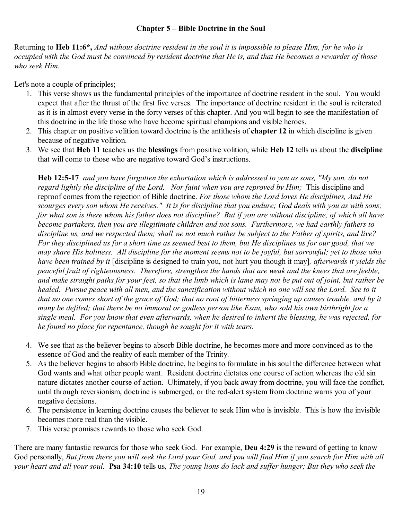# **Chapter 5 – Bible Doctrine in the Soul**

Returning to **Heb 11:6\*,** *And without doctrine resident in the soul it is impossible to please Him, for he who is occupied with the God must be convinced by resident doctrine that He is, and that He becomes a rewarder of those who seek Him.*

Let's note a couple of principles;

- 1. This verse shows us the fundamental principles of the importance of doctrine resident in the soul. You would expect that after the thrust of the first five verses. The importance of doctrine resident in the soul is reiterated as it is in almost every verse in the forty verses of this chapter. And you will begin to see the manifestation of this doctrine in the life those who have become spiritual champions and visible heroes.
- 2. This chapter on positive volition toward doctrine is the antithesis of **chapter 12** in which discipline is given because of negative volition.
- 3. We see that **Heb 11** teaches us the **blessings** from positive volition, while **Heb 12** tells us about the **discipline** that will come to those who are negative toward God's instructions.

**Heb 12:517** *and you have forgotten the exhortation which is addressed to you as sons, "My son, do not regard lightly the discipline of the Lord, Nor faint when you are reproved by Him;* This discipline and reproof comes from the rejection of Bible doctrine. *For those whom the Lord loves He disciplines, And He scourges every son whom He receives." It is for discipline that you endure; God deals with you as with sons; for what son is there whom his father does not discipline? But if you are without discipline, of which all have become partakers, then you are illegitimate children and not sons. Furthermore, we had earthly fathers to discipline us, and we respected them; shall we not much rather be subject to the Father of spirits, and live? For they disciplined us for a short time as seemed best to them, but He disciplines us for our good, that we may share His holiness. All discipline for the moment seems not to be joyful, but sorrowful; yet to those who have been trained by it* [discipline is designed to train you, not hurt you though it may]*, afterwards it yields the peaceful fruit of righteousness. Therefore, strengthen the hands that are weak and the knees that are feeble, and make straight paths for your feet, so that the limb which is lame may not be put out of joint, but rather be healed. Pursue peace with all men, and the sanctification without which no one will see the Lord. See to it that no one comes short of the grace of God; that no root of bitterness springing up causes trouble, and by it many be defiled; that there be no immoral or godless person like Esau, who sold his own birthright for a single meal. For you know that even afterwards, when he desired to inherit the blessing, he was rejected, for he found no place for repentance, though he sought for it with tears.*

- 4. We see that as the believer begins to absorb Bible doctrine, he becomes more and more convinced as to the essence of God and the reality of each member of the Trinity.
- 5. As the believer begins to absorb Bible doctrine, he begins to formulate in his soul the difference between what God wants and what other people want. Resident doctrine dictates one course of action whereas the old sin nature dictates another course of action. Ultimately, if you back away from doctrine, you will face the conflict, until through reversionism, doctrine is submerged, or the red-alert system from doctrine warns you of your negative decisions.
- 6. The persistence in learning doctrine causes the believer to seek Him who is invisible. This is how the invisible becomes more real than the visible.
- 7. This verse promises rewards to those who seek God.

There are many fantastic rewards for those who seek God. For example, **Deu 4:29** is the reward of getting to know God personally, *But from there you will seek the Lord your God, and you will find Him if you search for Him with all your heart and all your soul.* **Psa 34:10** tells us, *The young lions do lack and suffer hunger; But they who seek the*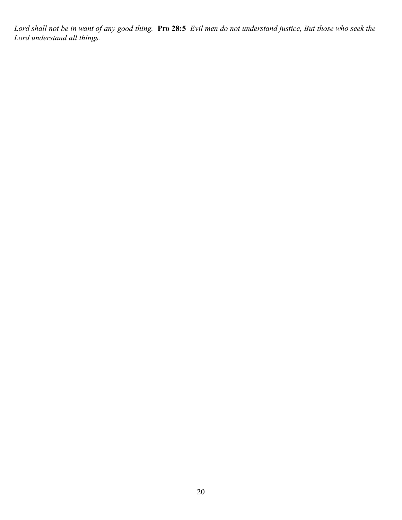*Lord shall not be in want of any good thing.* **Pro 28:5** *Evil men do not understand justice, But those who seek the Lord understand all things.*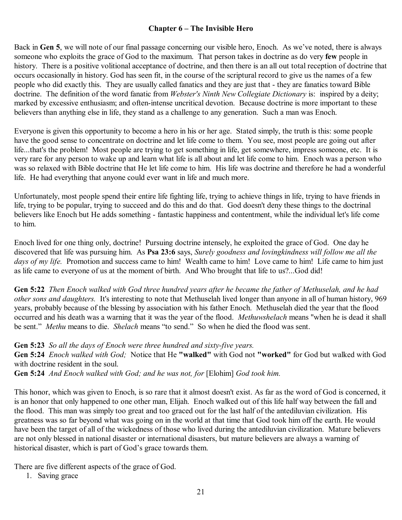# **Chapter 6 – The Invisible Hero**

Back in **Gen 5**, we will note of our final passage concerning our visible hero, Enoch. As we've noted, there is always someone who exploits the grace of God to the maximum. That person takes in doctrine as do very **few** people in history. There is a positive volitional acceptance of doctrine, and then there is an all out total reception of doctrine that occurs occasionally in history. God has seen fit, in the course of the scriptural record to give us the names of a few people who did exactly this. They are usually called fanatics and they are just that they are fanatics toward Bible doctrine. The definition of the word fanatic from *Webster's Ninth New Collegiate Dictionary* is: inspired by a deity; marked by excessive enthusiasm; and often-intense uncritical devotion. Because doctrine is more important to these believers than anything else in life, they stand as a challenge to any generation. Such a man was Enoch.

Everyone is given this opportunity to become a hero in his or her age. Stated simply, the truth is this: some people have the good sense to concentrate on doctrine and let life come to them. You see, most people are going out after life...that's the problem! Most people are trying to get something in life, get somewhere, impress someone, etc. It is very rare for any person to wake up and learn what life is all about and let life come to him. Enoch was a person who was so relaxed with Bible doctrine that He let life come to him. His life was doctrine and therefore he had a wonderful life. He had everything that anyone could ever want in life and much more.

Unfortunately, most people spend their entire life fighting life, trying to achieve things in life, trying to have friends in life, trying to be popular, trying to succeed and do this and do that. God doesn't deny these things to the doctrinal believers like Enoch but He adds something - fantastic happiness and contentment, while the individual let's life come to him.

Enoch lived for one thing only, doctrine! Pursuing doctrine intensely, he exploited the grace of God. One day he discovered that life was pursuing him. As **Psa 23:6** says, *Surely goodness and lovingkindness will follow me all the days of my life.* Promotion and success came to him! Wealth came to him! Love came to him! Life came to him just as life came to everyone of us at the moment of birth. And Who brought that life to us?...God did!

**Gen 5:22** *Then Enoch walked with God three hundred years after he became the father of Methuselah, and he had other sons and daughters.* It's interesting to note that Methuselah lived longer than anyone in all of human history, 969 years, probably because of the blessing by association with his father Enoch. Methuselah died the year that the flood occurred and his death was a warning that it was the year of the flood. *Methuwshelach* means "when he is dead it shall be sent." *Methu* means to die. *Shelach* means "to send." So when he died the flood was sent.

#### **Gen 5:23** *So all the days of Enoch were three hundred and sixtyfive years.*

**Gen 5:24** *Enoch walked with God;* Notice that He **"walked"** with God not **"worked"** for God but walked with God with doctrine resident in the soul.

**Gen 5:24** *And Enoch walked with God; and he was not, for* [Elohim] *God took him.*

This honor, which was given to Enoch, is so rare that it almost doesn't exist. As far as the word of God is concerned, it is an honor that only happened to one other man, Elijah. Enoch walked out of this life half way between the fall and the flood. This man was simply too great and too graced out for the last half of the antediluvian civilization. His greatness was so far beyond what was going on in the world at that time that God took him offthe earth. He would have been the target of all of the wickedness of those who lived during the antediluvian civilization. Mature believers are not only blessed in national disaster or international disasters, but mature believers are always a warning of historical disaster, which is part of God's grace towards them.

There are five different aspects of the grace of God.

1. Saving grace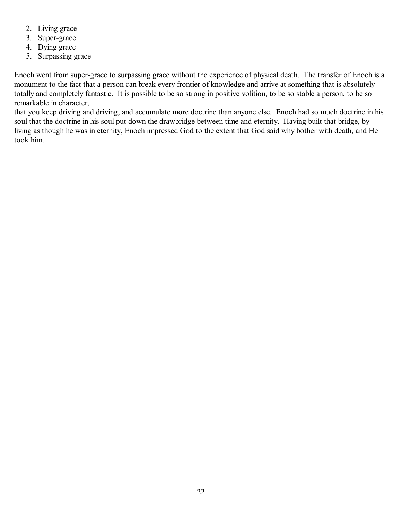- 2. Living grace
- 3. Super-grace
- 4. Dying grace
- 5. Surpassing grace

Enoch went from super-grace to surpassing grace without the experience of physical death. The transfer of Enoch is a monument to the fact that a person can break every frontier of knowledge and arrive at something that is absolutely totally and completely fantastic. It is possible to be so strong in positive volition, to be so stable a person, to be so remarkable in character,

that you keep driving and driving, and accumulate more doctrine than anyone else. Enoch had so much doctrine in his soul that the doctrine in his soul put down the drawbridge between time and eternity. Having built that bridge, by living as though he was in eternity, Enoch impressed God to the extent that God said why bother with death, and He took him.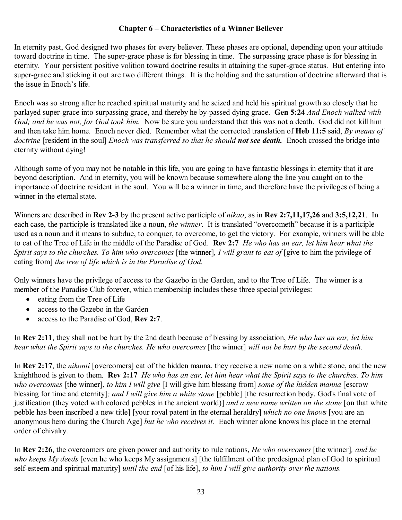# **Chapter 6 – Characteristics of a Winner Believer**

In eternity past, God designed two phases for every believer. These phases are optional, depending upon your attitude toward doctrine in time. The super-grace phase is for blessing in time. The surpassing grace phase is for blessing in eternity. Your persistent positive volition toward doctrine results in attaining the super-grace status. But entering into super-grace and sticking it out are two different things. It is the holding and the saturation of doctrine afterward that is the issue in Enoch's life.

Enoch was so strong after he reached spiritual maturity and he seized and held his spiritual growth so closely that he parlayed super-grace into surpassing grace, and thereby he by-passed dying grace. **Gen 5:24** *And Enoch walked with God; and he was not, for God took him.* Now be sure you understand that this was not a death. God did not kill him and then take him home. Enoch never died. Remember what the corrected translation of **Heb 11:5** said, *By means of doctrine* [resident in the soul] *Enoch was transferred so that he should not see death.* Enoch crossed the bridge into eternity without dying!

Although some of you may not be notable in this life, you are going to have fantastic blessings in eternity that it are beyond description. And in eternity, you will be known because somewhere along the line you caught on to the importance of doctrine resident in the soul. You will be a winner in time, and therefore have the privileges of being a winner in the eternal state.

Winners are described in **Rev 23** by the present active participle of *nikao*, as in **Rev 2:7,11,17,26** and **3:5,12,21**. In each case, the participle is translated like a noun, *the winner*. It is translated "overcometh" because it is a participle used as a noun and it means to subdue, to conquer, to overcome, to get the victory. For example, winners will be able to eat of the Tree of Life in the middle of the Paradise of God. **Rev 2:7** *He who has an ear, let him hear what the Spirit says to the churches. To him who overcomes* [the winner]*, I will grant to eat of* [give to him the privilege of eating from] *the tree of life which is in the Paradise of God.*

Only winners have the privilege of access to the Gazebo in the Garden, and to the Tree of Life. The winner is a member of the Paradise Club forever, which membership includes these three special privileges:

- eating from the Tree of Life
- · access to the Gazebo in the Garden
- · access to the Paradise of God, **Rev 2:7**.

In **Rev 2:11**, they shall not be hurt by the 2nd death because of blessing by association, *He who has an ear, let him hear what the Spirit says to the churches. He who overcomes* [the winner] *will not be hurt by the second death.*

In **Rev 2:17**, the *nikonti* [overcomers] eat of the hidden manna, they receive a new name on a white stone, and the new knighthood is given to them. **Rev 2:17** *He who has an ear, let him hear what the Spirit says to the churches. To him who overcomes* [the winner], *to him I will give* [I will give him blessing from] *some of the hidden manna* [escrow blessing for time and eternity]*; and I will give him a white stone* [pebble] [the resurrection body, God's final vote of justification (they voted with colored pebbles in the ancient world)] *and a new name written on the stone* [on that white pebble has been inscribed a new title] [your royal patent in the eternal heraldry] *which no one knows* [you are an anonymous hero during the Church Age] *but he who receives it.* Each winner alone knows his place in the eternal order of chivalry.

In **Rev 2:26**, the overcomers are given power and authority to rule nations, *He who overcomes* [the winner]*, and he who keeps My deeds* [even he who keeps My assignments] [the fulfillment of the predesigned plan of God to spiritual self-esteem and spiritual maturity] *until the end* [of his life], *to him I will give authority over the nations.*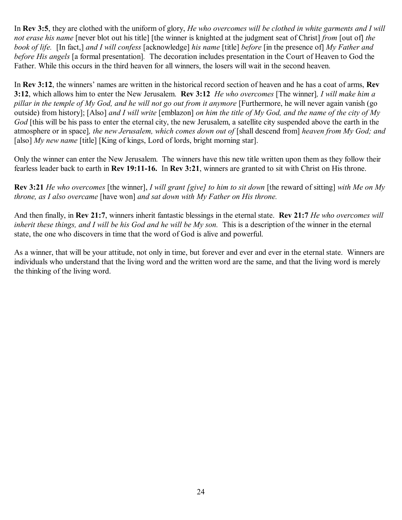In **Rev 3:5**, they are clothed with the uniform of glory, *He who overcomes will be clothed in white garments and I will not erase his name* [never blot out his title] [the winner is knighted at the judgment seat of Christ] *from* [out of] *the book of life.* [In fact,] *and I will confess* [acknowledge] *his name* [title] *before* [in the presence of] *My Father and before His angels* [a formal presentation]*.* The decoration includes presentation in the Court of Heaven to God the Father. While this occurs in the third heaven for all winners, the losers will wait in the second heaven.

In **Rev 3:12**, the winners' names are written in the historical record section of heaven and he has a coat of arms, **Rev 3:12**, which allows him to enter the New Jerusalem. **Rev 3:12** *He who overcomes* [The winner]*, I will make him a pillar in the temple of My God, and he will not go out from it anymore* [Furthermore, he will never again vanish (go outside) from history]; [Also] *and I will write* [emblazon] *on him the title of My God, and the name of the city of My God* [this will be his pass to enter the eternal city, the new Jerusalem, a satellite city suspended above the earth in the atmosphere or in space]*, the new Jerusalem, which comes down out of* [shall descend from] *heaven from My God; and* [also] *My new name* [title] [King of kings, Lord of lords, bright morning star].

Only the winner can enter the New Jerusalem. The winners have this new title written upon them as they follow their fearless leader back to earth in **Rev 19:11-16.** In **Rev 3:21**, winners are granted to sit with Christ on His throne.

**Rev 3:21** *He who overcomes* [the winner], *I will grant [give] to him to sit down* [the reward of sitting] *with Me on My throne, as I also overcame* [have won] *and sat down with My Father on His throne.*

And then finally, in **Rev 21:7**, winners inherit fantastic blessings in the eternal state. **Rev 21:7** *He who overcomes will inherit these things, and I will be his God and he will be My son.* This is a description of the winner in the eternal state, the one who discovers in time that the word of God is alive and powerful.

As a winner, that will be your attitude, not only in time, but forever and ever and ever in the eternal state. Winners are individuals who understand that the living word and the written word are the same, and that the living word is merely the thinking of the living word.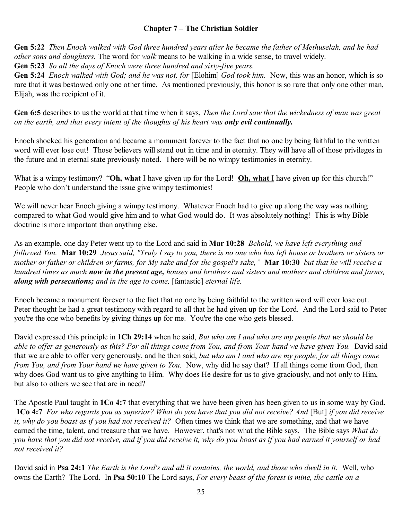# **Chapter 7 – The Christian Soldier**

**Gen 5:22** *Then Enoch walked with God three hundred years after he became the father of Methuselah, and he had other sons and daughters.* The word for *walk* means to be walking in a wide sense, to travel widely.

**Gen 5:23** *So all the days of Enoch were three hundred and sixty-five years.* 

**Gen 5:24** *Enoch walked with God; and he was not, for* [Elohim] *God took him.* Now, this was an honor, which is so rare that it was bestowed only one other time. As mentioned previously, this honor is so rare that only one other man, Elijah, was the recipient of it.

**Gen 6:5** describes to us the world at that time when it says, *Then the Lord saw that the wickedness of man was great on the earth, and that every intent of the thoughts of his heart was only evil continually.*

Enoch shocked his generation and became a monument forever to the fact that no one by being faithful to the written word will ever lose out! Those believers will stand out in time and in eternity. They will have all of those privileges in the future and in eternal state previously noted. There will be no wimpy testimonies in eternity.

What is a wimpy testimony? "Oh, what I have given up for the Lord! Oh, what I have given up for this church!" People who don't understand the issue give wimpy testimonies!

We will never hear Enoch giving a wimpy testimony. Whatever Enoch had to give up along the way was nothing compared to what God would give him and to what God would do. It was absolutely nothing! This is why Bible doctrine is more important than anything else.

As an example, one day Peter went up to the Lord and said in **Mar 10:28** *Behold, we have left everything and followed You.* **Mar 10:29** *Jesus said, "Truly I say to you, there is no one who has left house or brothers or sisters or mother or father or children or farms, for My sake and for the gospel's sake,"* **Mar 10:30** *but that he will receive a hundred times as much now in the present age, houses and brothers and sisters and mothers and children and farms, along with persecutions; and in the age to come,* [fantastic] *eternal life.*

Enoch became a monument forever to the fact that no one by being faithful to the written word will ever lose out. Peter thought he had a great testimony with regard to all that he had given up for the Lord. And the Lord said to Peter you're the one who benefits by giving things up for me. You're the one who gets blessed.

David expressed this principle in **1Ch 29:14** when he said, *But who am I and who are my people that we should be able to offer as generously as this? For all things come from You, and from Your hand we have given You.* David said that we are able to offer very generously, and he then said, *but who am I and who are my people, for all things come from You, and from Your hand we have given to You.* Now, why did he say that? If all things come from God, then why does God want us to give anything to Him. Why does He desire for us to give graciously, and not only to Him, but also to others we see that are in need?

The Apostle Paul taught in **1Co 4:7** that everything that we have been given has been given to us in some way by God. **1Co 4:7** *For who regards you as superior? What do you have that you did not receive? And* [But] *if you did receive it, why do you boast as if you had not received it?* Often times we think that we are something, and that we have earned the time, talent, and treasure that we have. However, that's not what the Bible says. The Bible says *What do you have that you did not receive, and if you did receive it, why do you boast as if you had earned it yourself or had not received it?*

David said in **Psa 24:1** *The Earth is the Lord's and all it contains, the world, and those who dwell in it.* Well, who owns the Earth? The Lord. In **Psa 50:10** The Lord says, *For every beast of the forest is mine, the cattle on a*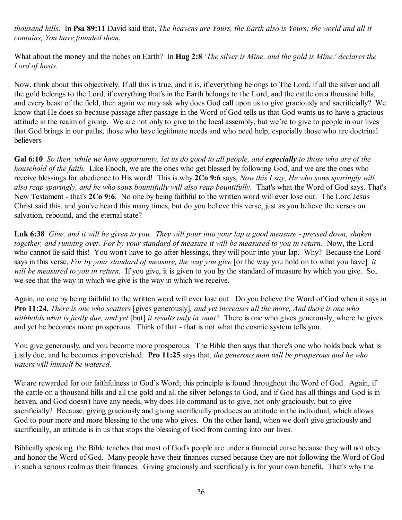*thousand hills.* In **Psa 89:11** David said that, *The heavens are Yours, the Earth also is Yours; the world and all it contains, You have founded them.*

What about the money and the riches on Earth? In **Hag 2:8** '*The silver is Mine, and the gold is Mine,' declares the Lord of hosts.*

Now, think about this objectively. If all this is true, and it is, if everything belongs to The Lord, if all the silver and all the gold belongs to the Lord, if everything that's in the Earth belongs to the Lord, and the cattle on a thousand hills, and every beast of the field, then again we may ask why does God call upon us to give graciously and sacrificially? We know that He does so because passage after passage in the Word of God tells us that God wants us to have a gracious attitude in the realm of giving. We are not only to give to the local assembly, but we're to give to people in our lives that God brings in our paths, those who have legitimate needs and who need help, especially those who are doctrinal believers

**Gal 6:10** *So then, while we have opportunity, let us do good to all people, and especially to those who are of the household of the faith.* Like Enoch, we are the ones who get blessed by following God, and we are the ones who receive blessings for obedience to His word! This is why **2Co 9:6** says, *Now this I say, He who sows sparingly will also reap sparingly, and he who sows bountifully will also reap bountifully.* That's what the Word of God says. That's New Testament - that's 2Co 9:6. No one by being faithful to the written word will ever lose out. The Lord Jesus Christ said this, and you've heard this many times, but do you believe this verse, just as you believe the verses on salvation, rebound, and the eternal state?

**Luk 6:38** *Give, and it will be given to you. They will pour into your lap a good measure pressed down, shaken together, and running over. For by your standard of measure it will be measured to you in return.* Now, the Lord who cannot lie said this! You won't have to go after blessings, they will pour into your lap. Why? Because the Lord says in this verse, *For by your standard of measure, the way you give* [or the way you hold on to what you have]*, it will be measured to you in return.* If you give, it is given to you by the standard of measure by which you give. So, we see that the way in which we give is the way in which we receive.

Again, no one by being faithful to the written word will ever lose out. Do you believe the Word of God when it says in **Pro 11:24,** *There is one who scatters* [gives generously]*, and yet increases all the more, And there is one who withholds what is justly due, and yet* [but] *it results only in want?* There is one who gives generously, where he gives and yet he becomes more prosperous. Think of that - that is not what the cosmic system tells you.

You give generously, and you become more prosperous. The Bible then says that there's one who holds back what is justly due, and he becomes impoverished. **Pro 11:25** says that, *the generous man will be prosperous and he who waters will himself be watered.*

We are rewarded for our faithfulness to God's Word; this principle is found throughout the Word of God. Again, if the cattle on a thousand hills and all the gold and all the silver belongs to God, and if God has all things and God is in heaven, and God doesn't have any needs, why does He command us to give, not only graciously, but to give sacrificially? Because, giving graciously and giving sacrificially produces an attitude in the individual, which allows God to pour more and more blessing to the one who gives. On the other hand, when we don't give graciously and sacrificially, an attitude is in us that stops the blessing of God from coming into our lives.

Biblically speaking, the Bible teaches that most of God's people are under a financial curse because they will not obey and honor the Word of God. Many people have their finances cursed because they are not following the Word of God in such a serious realm as their finances. Giving graciously and sacrificially is for your own benefit. That's why the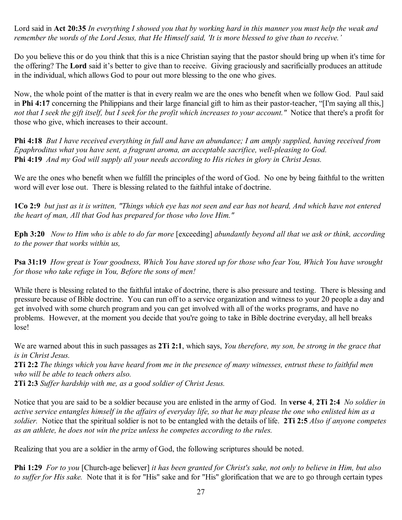Lord said in **Act 20:35** *In everything I showed you that by working hard in this manner you must help the weak and remember the words of the Lord Jesus, that He Himself said, 'It is more blessed to give than to receive.'*

Do you believe this or do you think that this is a nice Christian saying that the pastor should bring up when it's time for the offering? The **Lord** said it's better to give than to receive. Giving graciously and sacrificially produces an attitude in the individual, which allows God to pour out more blessing to the one who gives.

Now, the whole point of the matter is that in every realm we are the ones who benefit when we follow God. Paul said in **Phi 4:17** concerning the Philippians and their large financial gift to him as their pastor-teacher, "[I'm saying all this,] *not that I seek the gift itself, but I seek for the profit which increases to your account."* Notice that there's a profit for those who give, which increases to their account.

**Phi 4:18** *But I have received everything in full and have an abundance; I am amply supplied, having received from Epaphroditus what you have sent, a fragrant aroma, an acceptable sacrifice, well-pleasing to God.* **Phi 4:19** *And my God will supply all your needs according to His riches in glory in Christ Jesus.*

We are the ones who benefit when we fulfill the principles of the word of God. No one by being faithful to the written word will ever lose out. There is blessing related to the faithful intake of doctrine.

**1Co 2:9** *but just as it is written, "Things which eye has not seen and ear has not heard, And which have not entered the heart of man, All that God has prepared for those who love Him."*

**Eph 3:20** *Now to Him who is able to do far more* [exceeding] *abundantly beyond all that we ask or think, according to the power that works within us,*

**Psa 31:19** *How great is Your goodness, Which You have stored up for those who fear You, Which You have wrought for those who take refuge in You, Before the sons of men!*

While there is blessing related to the faithful intake of doctrine, there is also pressure and testing. There is blessing and pressure because of Bible doctrine. You can run off to a service organization and witness to your 20 people a day and get involved with some church program and you can get involved with all of the works programs, and have no problems. However, at the moment you decide that you're going to take in Bible doctrine everyday, all hell breaks lose!

We are warned about this in such passages as **2Ti 2:1**, which says, *You therefore, my son, be strong in the grace that is in Christ Jesus.*

**2Ti 2:2** *The things which you have heard from me in the presence of many witnesses, entrust these to faithful men who will be able to teach others also.*

**2Ti 2:3** *Suffer hardship with me, as a good soldier of Christ Jesus.*

Notice that you are said to be a soldier because you are enlisted in the army of God. In **verse 4**, **2Ti 2:4** *No soldier in active service entangles himself in the affairs of everyday life, so that he may please the one who enlisted him as a soldier.* Notice that the spiritual soldier is not to be entangled with the details of life. **2Ti 2:5** *Also if anyone competes as an athlete, he does not win the prize unless he competes according to the rules.*

Realizing that you are a soldier in the army of God, the following scriptures should be noted.

**Phi 1:29** *For to you* [Churchage believer] *it has been granted for Christ's sake, not only to believe in Him, but also to suffer for His sake.* Note that it is for "His" sake and for "His" glorification that we are to go through certain types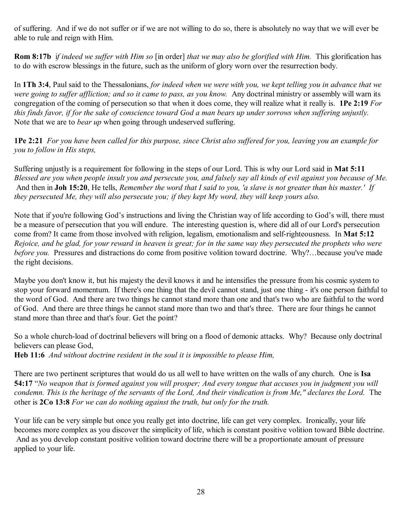of suffering. And if we do not suffer or if we are not willing to do so, there is absolutely no way that we will ever be able to rule and reign with Him.

**Rom 8:17b** i*f indeed we suffer with Him so* [in order] *that we may also be glorified with Him.* This glorification has to do with escrow blessings in the future, such as the uniform of glory worn over the resurrection body.

In **1Th 3:4**, Paul said to the Thessalonians, *for indeed when we were with you, we kept telling you in advance that we were going to suffer affliction; and so it came to pass, as you know.* Any doctrinal ministry or assembly will warn its congregation of the coming of persecution so that when it does come, they will realize what it really is. **1Pe 2:19** *For this finds favor, if for the sake of conscience toward God a man bears up under sorrows when suffering unjustly.* Note that we are to *bear up* when going through undeserved suffering.

**1Pe 2:21** *For you have been called for this purpose, since Christ also suffered for you, leaving you an example for you to follow in His steps,*

Suffering unjustly is a requirement for following in the steps of our Lord. This is why our Lord said in **Mat 5:11** *Blessed are you when people insult you and persecute you, and falsely say all kinds of evil against you because of Me.* And then in **Joh 15:20**, He tells, *Remember the word that I said to you, 'a slave is not greater than his master.' If they persecuted Me, they will also persecute you; if they kept My word, they will keep yours also.*

Note that if you're following God's instructions and living the Christian way of life according to God's will, there must be a measure of persecution that you will endure. The interesting question is, where did all of our Lord's persecution come from? It came from those involved with religion, legalism, emotionalism and self-righteousness. In **Mat 5:12** *Rejoice, and be glad, for your reward in heaven is great; for in the same way they persecuted the prophets who were before you.* Pressures and distractions do come from positive volition toward doctrine. Why?…because you've made the right decisions.

Maybe you don't know it, but his majesty the devil knows it and he intensifies the pressure from his cosmic system to stop your forward momentum. If there's one thing that the devil cannot stand, just one thing - it's one person faithful to the word of God. And there are two things he cannot stand more than one and that's two who are faithful to the word of God. And there are three things he cannot stand more than two and that's three. There are four things he cannot stand more than three and that's four. Get the point?

So a whole church-load of doctrinal believers will bring on a flood of demonic attacks. Why? Because only doctrinal believers can please God, **Heb 11:6** *And without doctrine resident in the soul it is impossible to please Him,*

There are two pertinent scriptures that would do us all well to have written on the walls of any church. One is **Isa 54:17** "*No weapon that is formed against you will prosper; And every tongue that accuses you in judgment you will condemn. This is the heritage of the servants of the Lord, And their vindication is from Me," declares the Lord.* The other is **2Co 13:8** *For we can do nothing against the truth, but only for the truth.*

Your life can be very simple but once you really get into doctrine, life can get very complex. Ironically, your life becomes more complex as you discover the simplicity of life, which is constant positive volition toward Bible doctrine. And as you develop constant positive volition toward doctrine there will be a proportionate amount of pressure applied to your life.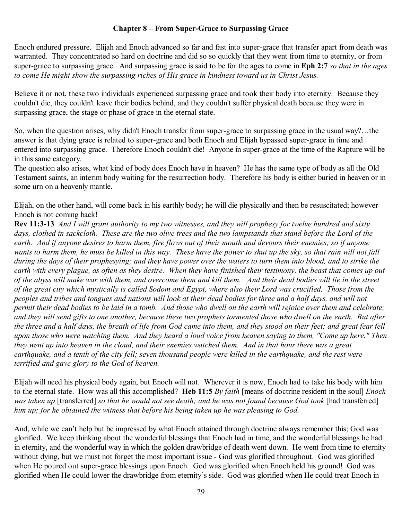# **Chapter 8 – From Super-Grace to Surpassing Grace**

Enoch endured pressure. Elijah and Enoch advanced so far and fast into supergrace that transfer apart from death was warranted. They concentrated so hard on doctrine and did so so quickly that they went from time to eternity, or from super-grace to surpassing grace. And surpassing grace is said to be for the ages to come in **Eph 2:7** *so that in the ages to come He might show the surpassing riches of His grace in kindness toward us in Christ Jesus.*

Believe it or not, these two individuals experienced surpassing grace and took their body into eternity. Because they couldn't die, they couldn't leave their bodies behind, and they couldn't suffer physical death because they were in surpassing grace, the stage or phase of grace in the eternal state.

So, when the question arises, why didn't Enoch transfer from super-grace to surpassing grace in the usual way?…the answer is that dying grace is related to super-grace and both Enoch and Elijah bypassed super-grace in time and entered into surpassing grace. Therefore Enoch couldn't die! Anyone in super-grace at the time of the Rapture will be in this same category.

The question also arises, what kind of body does Enoch have in heaven? He has the same type of body as all the Old Testament saints, an interim body waiting for the resurrection body. Therefore his body is either buried in heaven or in some urn on a heavenly mantle.

Elijah, on the other hand, will come back in his earthly body; he will die physically and then be resuscitated; however Enoch is not coming back!

**Rev 11:313** *And I will grant authority to my two witnesses, and they will prophesy for twelve hundred and sixty days, clothed in sackcloth. These are the two olive trees and the two lampstands that stand before the Lord of the earth. And if anyone desires to harm them, fire flows out of their mouth and devours their enemies; so if anyone wants to harm them, he must be killed in this way. These have the power to shut up the sky, so that rain will not fall during the days of their prophesying; and they have power over the waters to turn them into blood, and to strike the earth with every plague, as often as they desire. When they have finished their testimony, the beast that comes up out of the abyss will make war with them, and overcome them and kill them. And their dead bodies will lie in the street of the great city which mystically is called Sodom and Egypt, where also their Lord was crucified. Those from the peoples and tribes and tongues and nations will look at their dead bodies for three and a half days, and will not permit their dead bodies to be laid in a tomb. And those who dwell on the earth will rejoice over them and celebrate; and they will send gifts to one another, because these two prophets tormented those who dwell on the earth. But after the three and a half days, the breath of life from God came into them, and they stood on their feet; and great fear fell upon those who were watching them. And they heard a loud voice from heaven saying to them, "Come up here." Then they went up into heaven in the cloud, and their enemies watched them. And in that hour there was a great earthquake, and a tenth of the city fell; seven thousand people were killed in the earthquake, and the rest were terrified and gave glory to the God of heaven.*

Elijah will need his physical body again, but Enoch will not. Wherever it is now, Enoch had to take his body with him to the eternal state. How was all this accomplished? **Heb 11:5** *By faith* [means of doctrine resident in the soul] *Enoch was taken up* [transferred] *so that he would not see death; and he was not found because God took* [had transferred] *him up; for he obtained the witness that before his being taken up he was pleasing to God.*

And, while we can't help but be impressed by what Enoch attained through doctrine always remember this; God was glorified. We keep thinking about the wonderful blessings that Enoch had in time, and the wonderful blessings he had in eternity, and the wonderful way in which the golden drawbridge of death went down. He went from time to eternity without dying, but we must not forget the most important issue - God was glorified throughout. God was glorified when He poured out super-grace blessings upon Enoch. God was glorified when Enoch held his ground! God was glorified when He could lower the drawbridge from eternity's side. God was glorified when He could treat Enoch in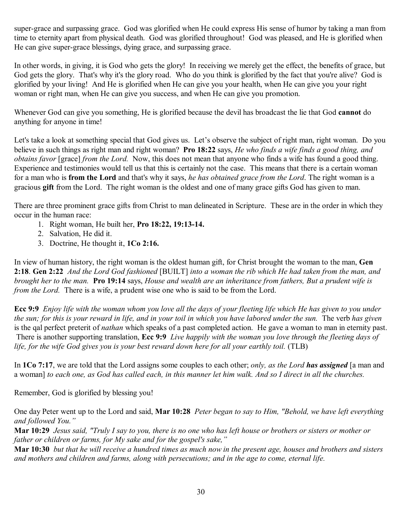super-grace and surpassing grace. God was glorified when He could express His sense of humor by taking a man from time to eternity apart from physical death. God was glorified throughout! God was pleased, and He is glorified when He can give super-grace blessings, dying grace, and surpassing grace.

In other words, in giving, it is God who gets the glory! In receiving we merely get the effect, the benefits of grace, but God gets the glory. That's why it's the glory road. Who do you think is glorified by the fact that you're alive? God is glorified by your living! And He is glorified when He can give you your health, when He can give you your right woman or right man, when He can give you success, and when He can give you promotion.

Whenever God can give you something, He is glorified because the devil has broadcast the lie that God **cannot** do anything for anyone in time!

Let's take a look at something special that God gives us. Let's observe the subject of right man, right woman. Do you believe in such things as right man and right woman? **Pro 18:22** says, *He who finds a wife finds a good thing, and obtains favor* [grace] *from the Lord.* Now, this does not mean that anyone who finds a wife has found a good thing. Experience and testimonies would tell us that this is certainly not the case. This means that there is a certain woman for a man who is **from the Lord** and that's why it says, *he has obtained grace from the Lord*. The right woman is a gracious **gift** from the Lord. The right woman is the oldest and one of many grace gifts God has given to man.

There are three prominent grace gifts from Christ to man delineated in Scripture. These are in the order in which they occur in the human race:

- 1. Right woman, He built her, **Pro 18:22, 19:13-14.**
- 2. Salvation, He did it.
- 3. Doctrine, He thought it, **1Co 2:16.**

In view of human history, the right woman is the oldest human gift, for Christ brought the woman to the man, **Gen 2:18**. **Gen 2:22** *And the Lord God fashioned* [BUILT] *into a woman the rib which He had taken from the man, and brought her to the man.* **Pro 19:14** says, *House and wealth are an inheritance from fathers, But a prudent wife is from the Lord.* There is a wife, a prudent wise one who is said to be from the Lord.

**Ecc 9:9** *Enjoy life with the woman whom you love all the days of your fleeting life which He has given to you under the sun; for this is your reward in life, and in your toil in which you have labored under the sun.* The verb *has given* is the qal perfect preterit of *nathan* which speaks of a past completed action. He gave a woman to man in eternity past. There is another supporting translation, **Ecc 9:9** *Live happily with the woman you love through the fleeting days of life, for the wife God gives you is your best reward down here for all your earthly toil.* (TLB)

In **1Co 7:17**, we are told that the Lord assigns some couples to each other; *only, as the Lord has assigned* [a man and a woman] *to each one, as God has called each, in this manner let him walk. And so I direct in all the churches.*

Remember, God is glorified by blessing you!

One day Peter went up to the Lord and said, **Mar 10:28** *Peter began to say to Him, "Behold, we have left everything and followed You."*

**Mar 10:29** *Jesus said, "Truly I say to you, there is no one who has left house or brothers or sisters or mother or father or children or farms, for My sake and for the gospel's sake,"*

**Mar 10:30** *but that he will receive a hundred times as much now in the present age, houses and brothers and sisters and mothers and children and farms, along with persecutions; and in the age to come, eternal life.*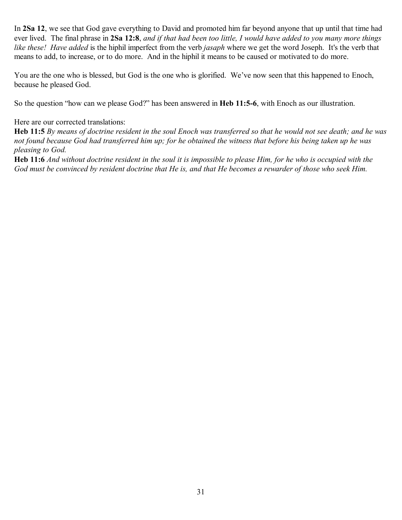In **2Sa 12**, we see that God gave everything to David and promoted him far beyond anyone that up until that time had ever lived. The final phrase in **2Sa 12:8**, *and if that had been too little, I would have added to you many more things like these! Have added* is the hiphil imperfect from the verb *jasaph* where we get the word Joseph. It's the verb that means to add, to increase, or to do more. And in the hiphil it means to be caused or motivated to do more.

You are the one who is blessed, but God is the one who is glorified. We've now seen that this happened to Enoch, because he pleased God.

So the question "how can we please God?" has been answered in **Heb 11:5-6**, with Enoch as our illustration.

Here are our corrected translations:

**Heb 11:5** *By means of doctrine resident in the soul Enoch was transferred so that he would not see death; and he was not found because God had transferred him up; for he obtained the witness that before his being taken up he was pleasing to God.*

**Heb 11:6** *And without doctrine resident in the soul it is impossible to please Him, for he who is occupied with the God must be convinced by resident doctrine that He is, and that He becomes a rewarder of those who seek Him.*